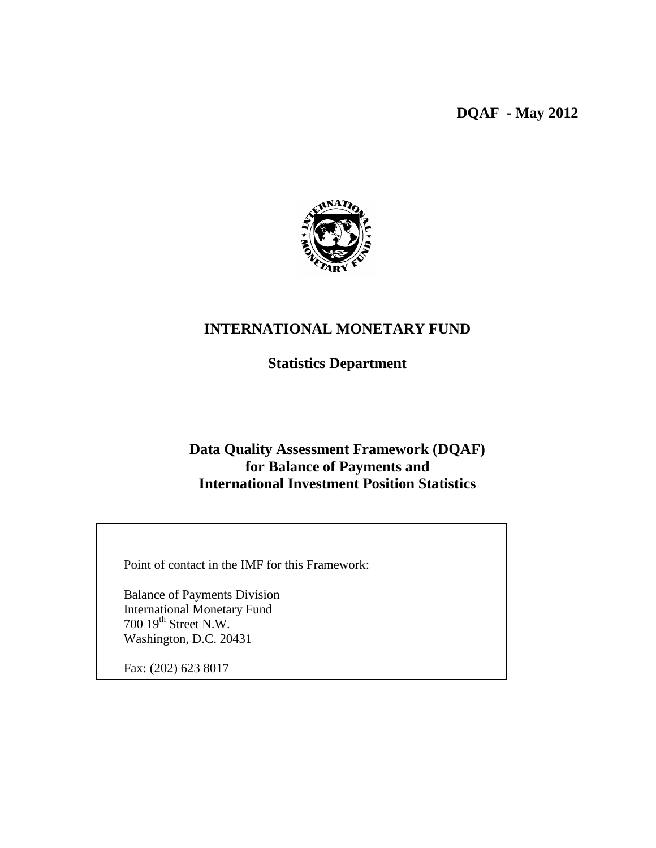**DQAF - May 2012**



# **INTERNATIONAL MONETARY FUND**

**Statistics Department**

# **Data Quality Assessment Framework (DQAF) for Balance of Payments and International Investment Position Statistics**

Point of contact in the IMF for this Framework:

Balance of Payments Division International Monetary Fund 700  $19^{\text{th}}$  Street N.W. Washington, D.C. 20431

Fax: (202) 623 8017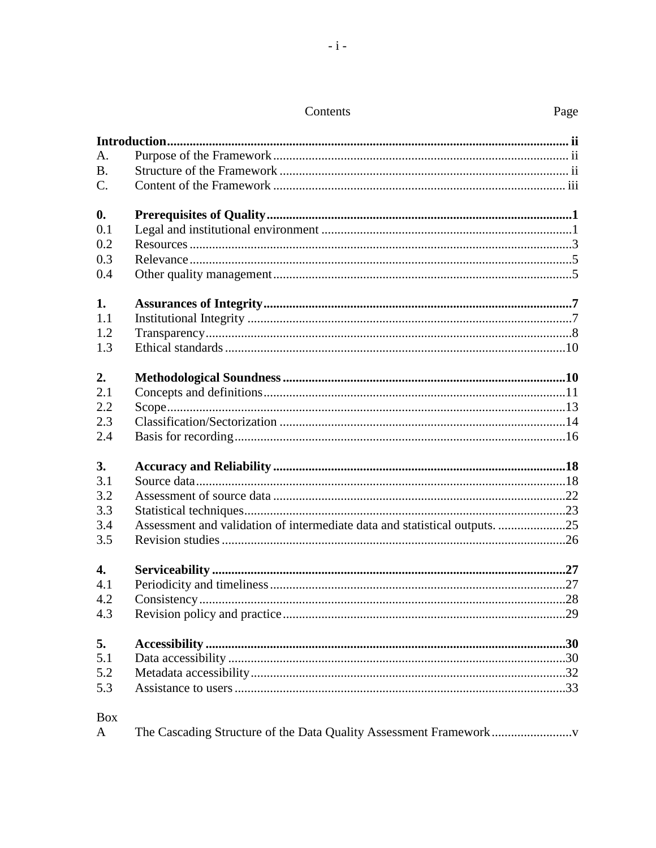### Contents

| A.             |                                                                            |  |
|----------------|----------------------------------------------------------------------------|--|
| B <sub>1</sub> |                                                                            |  |
| $C$ .          |                                                                            |  |
| $\mathbf{0}$ . |                                                                            |  |
| 0.1            |                                                                            |  |
| 0.2            |                                                                            |  |
| 0.3            |                                                                            |  |
| 0.4            |                                                                            |  |
| 1.             |                                                                            |  |
| 1.1            |                                                                            |  |
| 1.2            |                                                                            |  |
| 1.3            |                                                                            |  |
| 2.             |                                                                            |  |
| 2.1            |                                                                            |  |
| 2.2            |                                                                            |  |
| 2.3            |                                                                            |  |
| 2.4            |                                                                            |  |
| 3.             |                                                                            |  |
| 3.1            |                                                                            |  |
| 3.2            |                                                                            |  |
| 3.3            |                                                                            |  |
| 3.4            | Assessment and validation of intermediate data and statistical outputs. 25 |  |
| 3.5            |                                                                            |  |
| 4.             |                                                                            |  |
| 4.1            |                                                                            |  |
| 4.2            |                                                                            |  |
| 4.3            |                                                                            |  |
| 5.             |                                                                            |  |
| 5.1            |                                                                            |  |
| 5.2            |                                                                            |  |
| 5.3            |                                                                            |  |
| <b>Box</b>     |                                                                            |  |
| A              |                                                                            |  |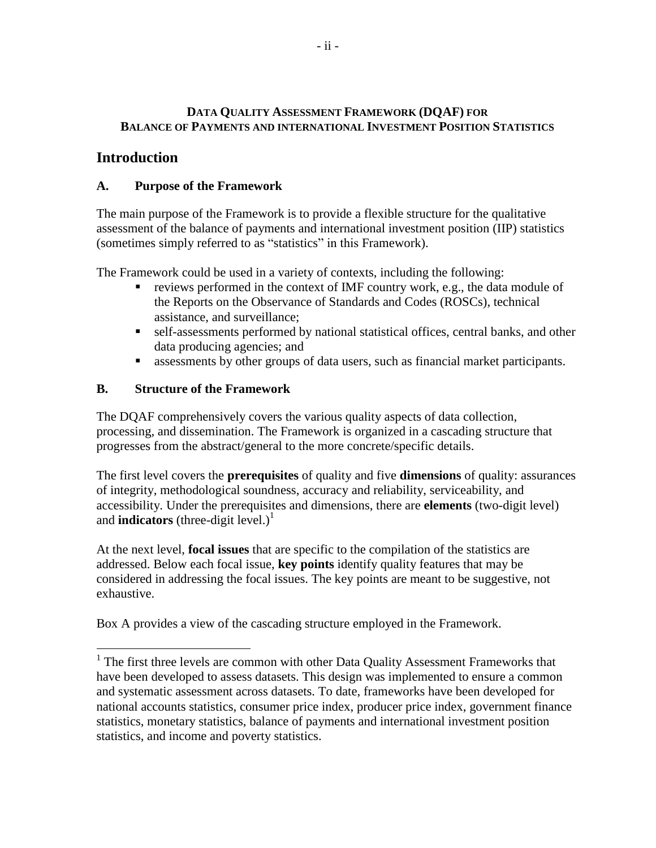## **DATA QUALITY ASSESSMENT FRAMEWORK (DQAF) FOR BALANCE OF PAYMENTS AND INTERNATIONAL INVESTMENT POSITION STATISTICS**

# **Introduction**

 $\overline{a}$ 

# **A. Purpose of the Framework**

The main purpose of the Framework is to provide a flexible structure for the qualitative assessment of the balance of payments and international investment position (IIP) statistics (sometimes simply referred to as "statistics" in this Framework).

The Framework could be used in a variety of contexts, including the following:

- reviews performed in the context of IMF country work, e.g., the data module of the Reports on the Observance of Standards and Codes (ROSCs), technical assistance, and surveillance;
- self-assessments performed by national statistical offices, central banks, and other data producing agencies; and
- assessments by other groups of data users, such as financial market participants.

# **B. Structure of the Framework**

The DQAF comprehensively covers the various quality aspects of data collection, processing, and dissemination. The Framework is organized in a cascading structure that progresses from the abstract/general to the more concrete/specific details.

The first level covers the **prerequisites** of quality and five **dimensions** of quality: assurances of integrity, methodological soundness, accuracy and reliability, serviceability, and accessibility. Under the prerequisites and dimensions, there are **elements** (two-digit level) and **indicators** (three-digit level.)<sup>1</sup>

At the next level, **focal issues** that are specific to the compilation of the statistics are addressed. Below each focal issue, **key points** identify quality features that may be considered in addressing the focal issues. The key points are meant to be suggestive, not exhaustive.

Box A provides a view of the cascading structure employed in the Framework.

<sup>&</sup>lt;sup>1</sup> The first three levels are common with other Data Quality Assessment Frameworks that have been developed to assess datasets. This design was implemented to ensure a common and systematic assessment across datasets. To date, frameworks have been developed for national accounts statistics, consumer price index, producer price index, government finance statistics, monetary statistics, balance of payments and international investment position statistics, and income and poverty statistics.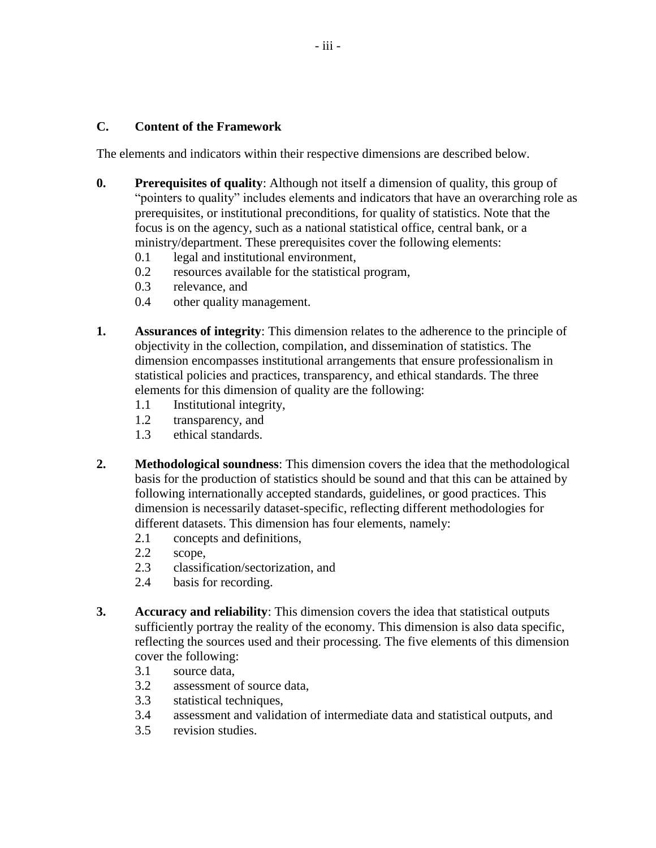#### **C. Content of the Framework**

The elements and indicators within their respective dimensions are described below.

- **0. Prerequisites of quality**: Although not itself a dimension of quality, this group of "pointers to quality" includes elements and indicators that have an overarching role as prerequisites, or institutional preconditions, for quality of statistics. Note that the focus is on the agency, such as a national statistical office, central bank, or a ministry/department. These prerequisites cover the following elements:
	- 0.1 legal and institutional environment,
	- 0.2 resources available for the statistical program,
	- 0.3 relevance, and
	- 0.4 other quality management.
- **1. Assurances of integrity**: This dimension relates to the adherence to the principle of objectivity in the collection, compilation, and dissemination of statistics. The dimension encompasses institutional arrangements that ensure professionalism in statistical policies and practices, transparency, and ethical standards. The three elements for this dimension of quality are the following:
	- 1.1 Institutional integrity,
	- 1.2 transparency, and
	- 1.3 ethical standards.
- **2. Methodological soundness**: This dimension covers the idea that the methodological basis for the production of statistics should be sound and that this can be attained by following internationally accepted standards, guidelines, or good practices. This dimension is necessarily dataset-specific, reflecting different methodologies for different datasets. This dimension has four elements, namely:
	- 2.1 concepts and definitions,
	- 2.2 scope,
	- 2.3 classification/sectorization, and
	- 2.4 basis for recording.
- **3. Accuracy and reliability**: This dimension covers the idea that statistical outputs sufficiently portray the reality of the economy. This dimension is also data specific, reflecting the sources used and their processing. The five elements of this dimension cover the following:
	- 3.1 source data,
	- 3.2 assessment of source data,
	- 3.3 statistical techniques,
	- 3.4 assessment and validation of intermediate data and statistical outputs, and
	- 3.5 revision studies.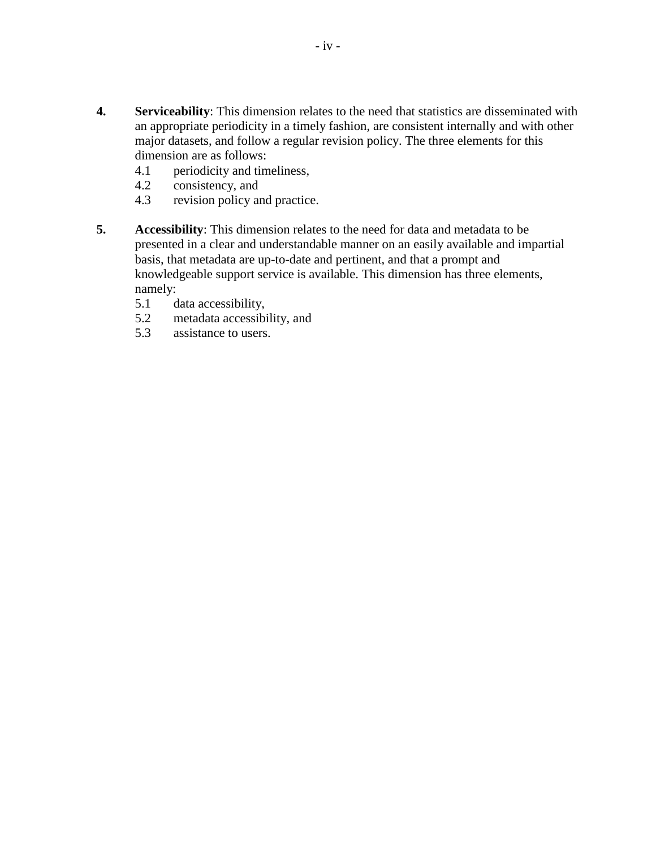- **4. Serviceability**: This dimension relates to the need that statistics are disseminated with an appropriate periodicity in a timely fashion, are consistent internally and with other major datasets, and follow a regular revision policy. The three elements for this dimension are as follows:
	- 4.1 periodicity and timeliness,
	- 4.2 consistency, and
	- 4.3 revision policy and practice.
- **5. Accessibility**: This dimension relates to the need for data and metadata to be presented in a clear and understandable manner on an easily available and impartial basis, that metadata are up-to-date and pertinent, and that a prompt and knowledgeable support service is available. This dimension has three elements, namely:
	- 5.1 data accessibility,
	- 5.2 metadata accessibility, and
	- 5.3 assistance to users.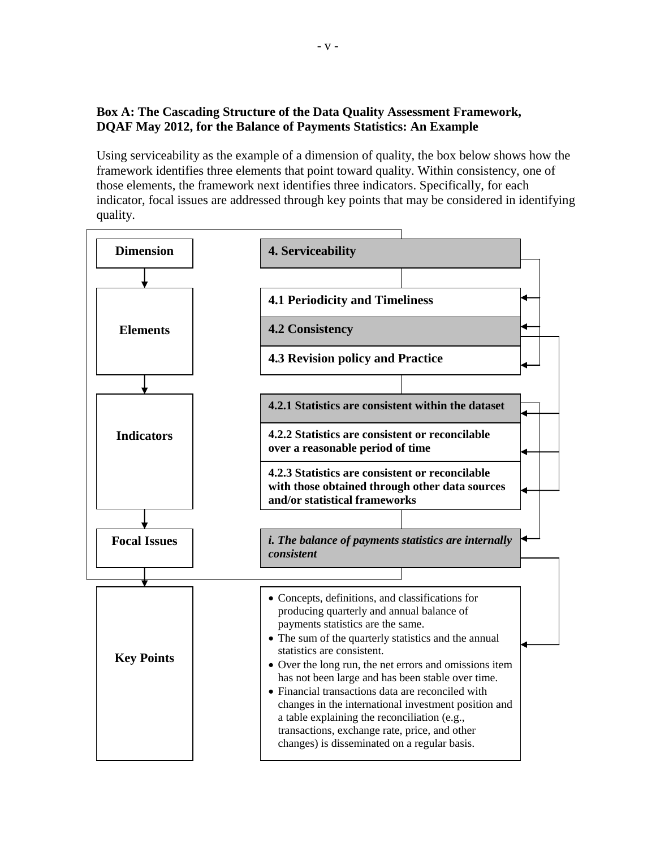## **Box A: The Cascading Structure of the Data Quality Assessment Framework, DQAF May 2012, for the Balance of Payments Statistics: An Example**

Using serviceability as the example of a dimension of quality, the box below shows how the framework identifies three elements that point toward quality. Within consistency, one of those elements, the framework next identifies three indicators. Specifically, for each indicator, focal issues are addressed through key points that may be considered in identifying quality.

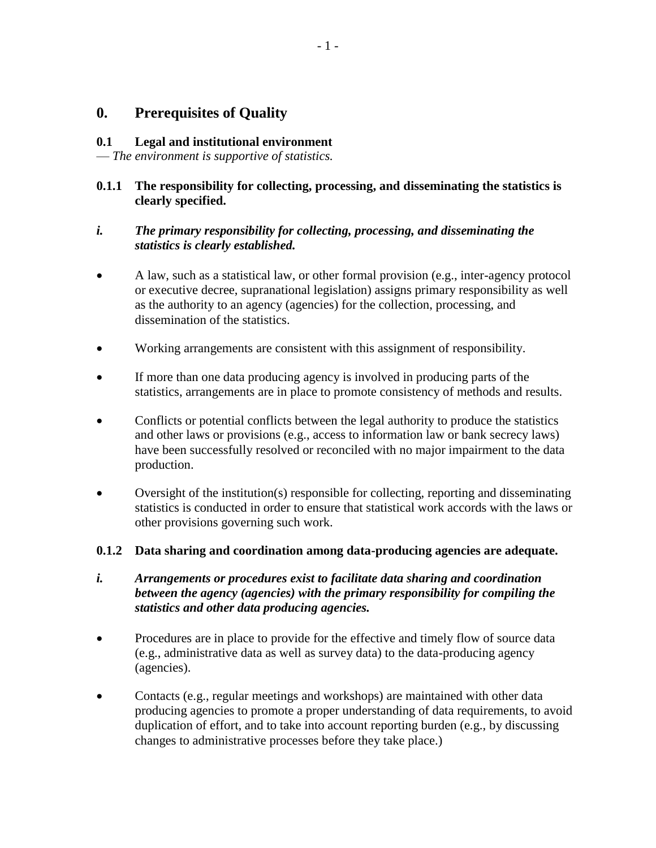# **0. Prerequisites of Quality**

#### **0.1 Legal and institutional environment**

— *The environment is supportive of statistics.*

## **0.1.1 The responsibility for collecting, processing, and disseminating the statistics is clearly specified.**

## *i. The primary responsibility for collecting, processing, and disseminating the statistics is clearly established.*

- A law, such as a statistical law, or other formal provision (e.g., inter-agency protocol or executive decree, supranational legislation) assigns primary responsibility as well as the authority to an agency (agencies) for the collection, processing, and dissemination of the statistics.
- Working arrangements are consistent with this assignment of responsibility.
- If more than one data producing agency is involved in producing parts of the statistics, arrangements are in place to promote consistency of methods and results.
- Conflicts or potential conflicts between the legal authority to produce the statistics and other laws or provisions (e.g., access to information law or bank secrecy laws) have been successfully resolved or reconciled with no major impairment to the data production.
- Oversight of the institution(s) responsible for collecting, reporting and disseminating statistics is conducted in order to ensure that statistical work accords with the laws or other provisions governing such work.

#### **0.1.2 Data sharing and coordination among data-producing agencies are adequate.**

- *i. Arrangements or procedures exist to facilitate data sharing and coordination between the agency (agencies) with the primary responsibility for compiling the statistics and other data producing agencies.*
- Procedures are in place to provide for the effective and timely flow of source data (e.g., administrative data as well as survey data) to the data-producing agency (agencies).
- Contacts (e.g., regular meetings and workshops) are maintained with other data producing agencies to promote a proper understanding of data requirements, to avoid duplication of effort, and to take into account reporting burden (e.g., by discussing changes to administrative processes before they take place.)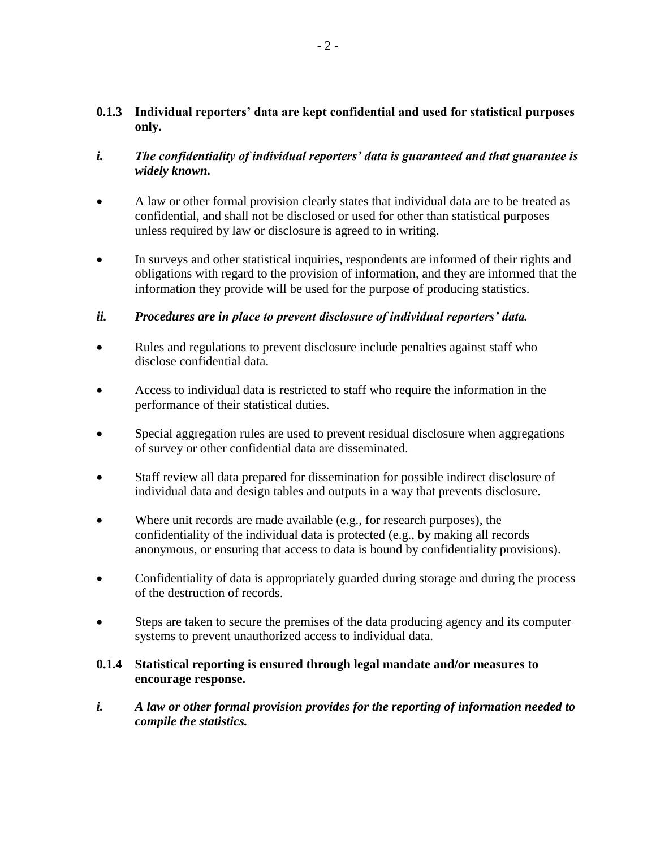## **0.1.3 Individual reporters' data are kept confidential and used for statistical purposes only.**

- *i. The confidentiality of individual reporters' data is guaranteed and that guarantee is widely known.*
- A law or other formal provision clearly states that individual data are to be treated as confidential, and shall not be disclosed or used for other than statistical purposes unless required by law or disclosure is agreed to in writing.
- In surveys and other statistical inquiries, respondents are informed of their rights and obligations with regard to the provision of information, and they are informed that the information they provide will be used for the purpose of producing statistics.

# *ii. Procedures are in place to prevent disclosure of individual reporters' data.*

- Rules and regulations to prevent disclosure include penalties against staff who disclose confidential data.
- Access to individual data is restricted to staff who require the information in the performance of their statistical duties.
- Special aggregation rules are used to prevent residual disclosure when aggregations of survey or other confidential data are disseminated.
- Staff review all data prepared for dissemination for possible indirect disclosure of individual data and design tables and outputs in a way that prevents disclosure.
- Where unit records are made available (e.g., for research purposes), the confidentiality of the individual data is protected (e.g., by making all records anonymous, or ensuring that access to data is bound by confidentiality provisions).
- Confidentiality of data is appropriately guarded during storage and during the process of the destruction of records.
- Steps are taken to secure the premises of the data producing agency and its computer systems to prevent unauthorized access to individual data.

## **0.1.4 Statistical reporting is ensured through legal mandate and/or measures to encourage response.**

*i. A law or other formal provision provides for the reporting of information needed to compile the statistics.*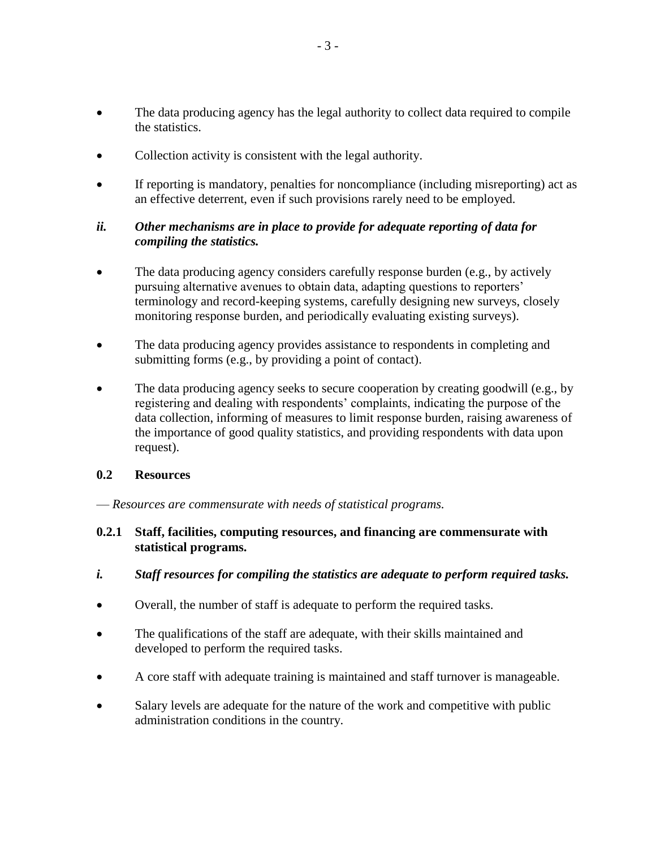- The data producing agency has the legal authority to collect data required to compile the statistics.
- Collection activity is consistent with the legal authority.
- If reporting is mandatory, penalties for noncompliance (including misreporting) act as an effective deterrent, even if such provisions rarely need to be employed.

## *ii. Other mechanisms are in place to provide for adequate reporting of data for compiling the statistics.*

- The data producing agency considers carefully response burden (e.g., by actively pursuing alternative avenues to obtain data, adapting questions to reporters' terminology and record-keeping systems, carefully designing new surveys, closely monitoring response burden, and periodically evaluating existing surveys).
- The data producing agency provides assistance to respondents in completing and submitting forms (e.g., by providing a point of contact).
- The data producing agency seeks to secure cooperation by creating goodwill (e.g., by registering and dealing with respondents' complaints, indicating the purpose of the data collection, informing of measures to limit response burden, raising awareness of the importance of good quality statistics, and providing respondents with data upon request).

## **0.2 Resources**

— *Resources are commensurate with needs of statistical programs.*

#### **0.2.1 Staff, facilities, computing resources, and financing are commensurate with statistical programs.**

- *i. Staff resources for compiling the statistics are adequate to perform required tasks.*
- Overall, the number of staff is adequate to perform the required tasks.
- The qualifications of the staff are adequate, with their skills maintained and developed to perform the required tasks.
- A core staff with adequate training is maintained and staff turnover is manageable.
- Salary levels are adequate for the nature of the work and competitive with public administration conditions in the country.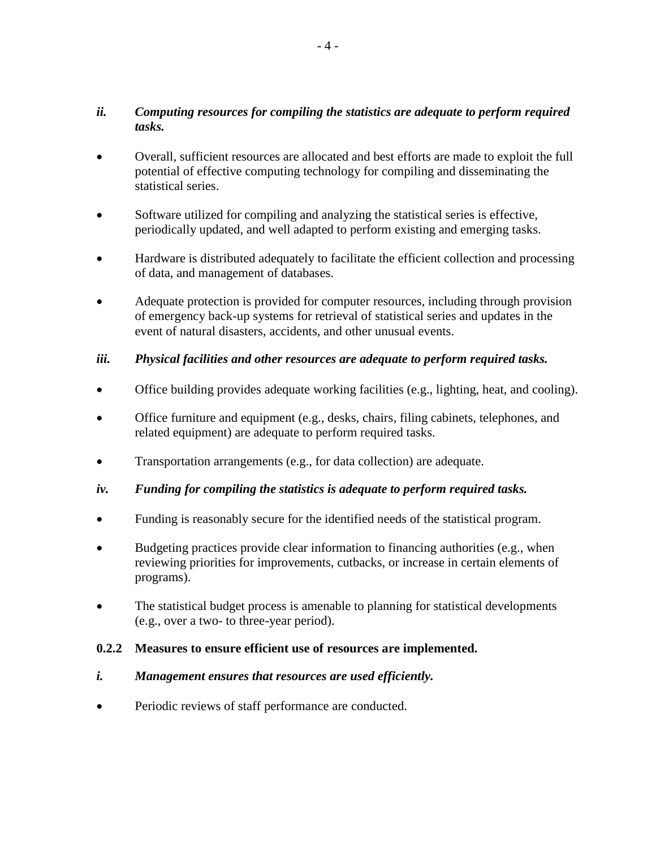## *ii. Computing resources for compiling the statistics are adequate to perform required tasks.*

- Overall, sufficient resources are allocated and best efforts are made to exploit the full potential of effective computing technology for compiling and disseminating the statistical series.
- Software utilized for compiling and analyzing the statistical series is effective, periodically updated, and well adapted to perform existing and emerging tasks.
- Hardware is distributed adequately to facilitate the efficient collection and processing of data, and management of databases.
- Adequate protection is provided for computer resources, including through provision of emergency back-up systems for retrieval of statistical series and updates in the event of natural disasters, accidents, and other unusual events.

## *iii. Physical facilities and other resources are adequate to perform required tasks.*

- Office building provides adequate working facilities (e.g., lighting, heat, and cooling).
- Office furniture and equipment (e.g., desks, chairs, filing cabinets, telephones, and related equipment) are adequate to perform required tasks.
- Transportation arrangements (e.g., for data collection) are adequate.
- *iv. Funding for compiling the statistics is adequate to perform required tasks.*
- Funding is reasonably secure for the identified needs of the statistical program.
- Budgeting practices provide clear information to financing authorities (e.g., when reviewing priorities for improvements, cutbacks, or increase in certain elements of programs).
- The statistical budget process is amenable to planning for statistical developments (e.g., over a two- to three-year period).

#### **0.2.2 Measures to ensure efficient use of resources are implemented.**

#### *i. Management ensures that resources are used efficiently.*

Periodic reviews of staff performance are conducted.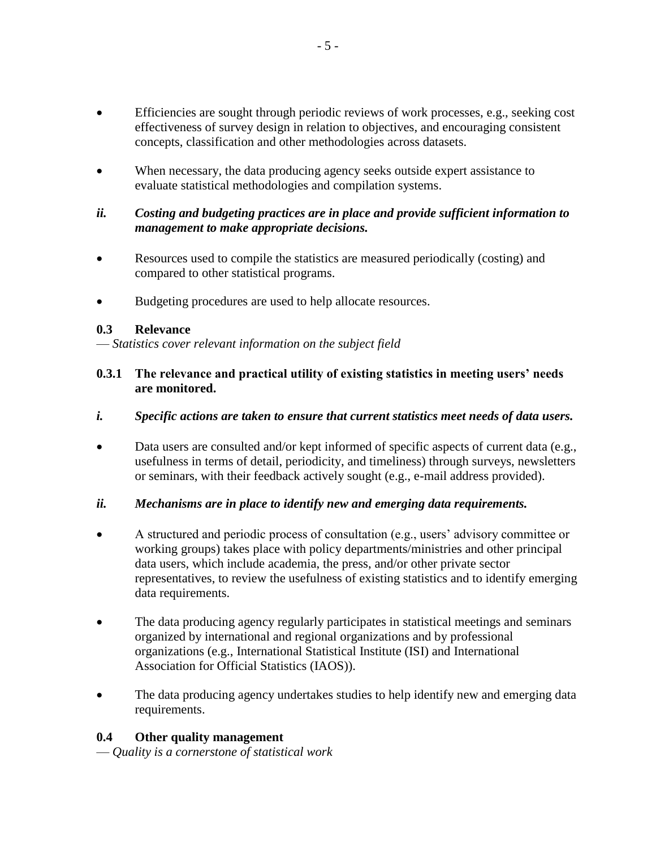- Efficiencies are sought through periodic reviews of work processes, e.g., seeking cost effectiveness of survey design in relation to objectives, and encouraging consistent concepts, classification and other methodologies across datasets.
- When necessary, the data producing agency seeks outside expert assistance to evaluate statistical methodologies and compilation systems.

### *ii. Costing and budgeting practices are in place and provide sufficient information to management to make appropriate decisions.*

- Resources used to compile the statistics are measured periodically (costing) and compared to other statistical programs.
- Budgeting procedures are used to help allocate resources.

## **0.3 Relevance**

— *Statistics cover relevant information on the subject field*

## **0.3.1 The relevance and practical utility of existing statistics in meeting users' needs are monitored.**

#### *i. Specific actions are taken to ensure that current statistics meet needs of data users.*

 Data users are consulted and/or kept informed of specific aspects of current data (e.g., usefulness in terms of detail, periodicity, and timeliness) through surveys, newsletters or seminars, with their feedback actively sought (e.g., e-mail address provided).

## *ii. Mechanisms are in place to identify new and emerging data requirements.*

- A structured and periodic process of consultation (e.g., users' advisory committee or working groups) takes place with policy departments/ministries and other principal data users, which include academia, the press, and/or other private sector representatives, to review the usefulness of existing statistics and to identify emerging data requirements.
- The data producing agency regularly participates in statistical meetings and seminars organized by international and regional organizations and by professional organizations (e.g., International Statistical Institute (ISI) and International Association for Official Statistics (IAOS)).
- The data producing agency undertakes studies to help identify new and emerging data requirements.

## **0.4 Other quality management**

— *Quality is a cornerstone of statistical work*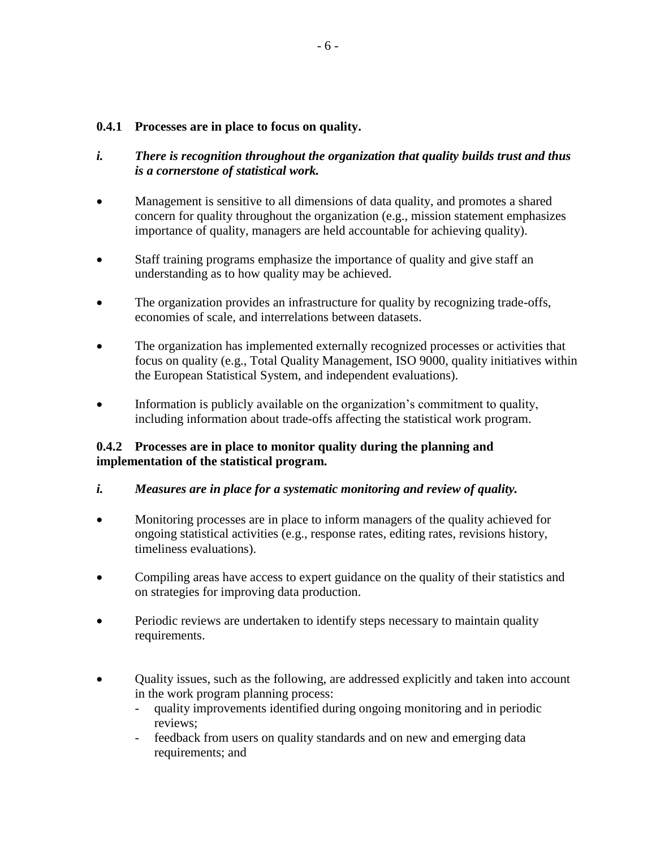#### **0.4.1 Processes are in place to focus on quality.**

- *i. There is recognition throughout the organization that quality builds trust and thus is a cornerstone of statistical work.*
- Management is sensitive to all dimensions of data quality, and promotes a shared concern for quality throughout the organization (e.g., mission statement emphasizes importance of quality, managers are held accountable for achieving quality).
- Staff training programs emphasize the importance of quality and give staff an understanding as to how quality may be achieved.
- The organization provides an infrastructure for quality by recognizing trade-offs, economies of scale, and interrelations between datasets.
- The organization has implemented externally recognized processes or activities that focus on quality (e.g., Total Quality Management, ISO 9000, quality initiatives within the European Statistical System, and independent evaluations).
- Information is publicly available on the organization's commitment to quality, including information about trade-offs affecting the statistical work program.

## **0.4.2 Processes are in place to monitor quality during the planning and implementation of the statistical program.**

## *i. Measures are in place for a systematic monitoring and review of quality.*

- Monitoring processes are in place to inform managers of the quality achieved for ongoing statistical activities (e.g., response rates, editing rates, revisions history, timeliness evaluations).
- Compiling areas have access to expert guidance on the quality of their statistics and on strategies for improving data production.
- Periodic reviews are undertaken to identify steps necessary to maintain quality requirements.
- Quality issues, such as the following, are addressed explicitly and taken into account in the work program planning process:
	- quality improvements identified during ongoing monitoring and in periodic reviews;
	- feedback from users on quality standards and on new and emerging data requirements; and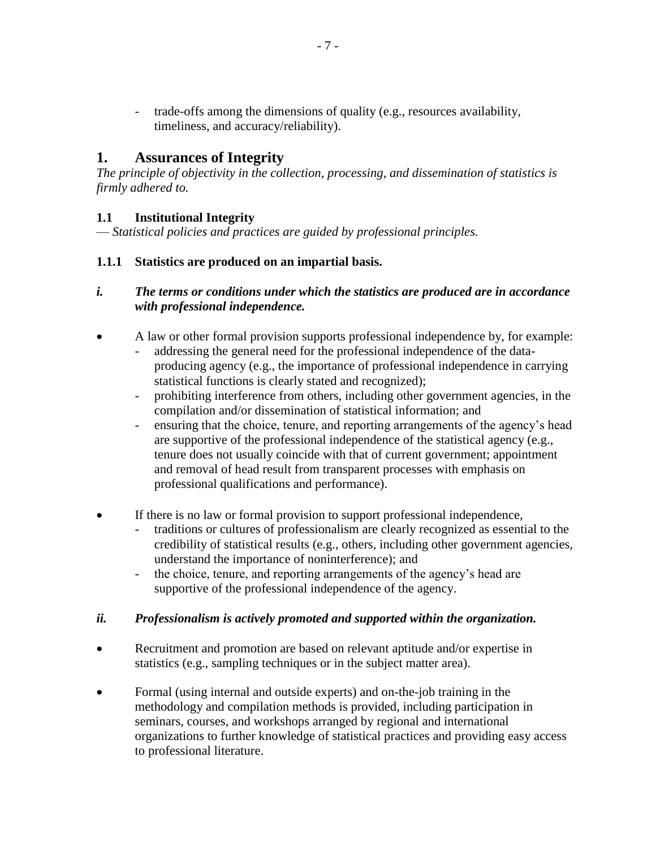trade-offs among the dimensions of quality (e.g., resources availability, timeliness, and accuracy/reliability).

# **1. Assurances of Integrity**

*The principle of objectivity in the collection, processing, and dissemination of statistics is firmly adhered to.*

# **1.1 Institutional Integrity**

— *Statistical policies and practices are guided by professional principles.*

## **1.1.1 Statistics are produced on an impartial basis.**

## *i. The terms or conditions under which the statistics are produced are in accordance with professional independence.*

- A law or other formal provision supports professional independence by, for example: - addressing the general need for the professional independence of the dataproducing agency (e.g., the importance of professional independence in carrying statistical functions is clearly stated and recognized);
	- prohibiting interference from others, including other government agencies, in the compilation and/or dissemination of statistical information; and
	- ensuring that the choice, tenure, and reporting arrangements of the agency's head are supportive of the professional independence of the statistical agency (e.g., tenure does not usually coincide with that of current government; appointment and removal of head result from transparent processes with emphasis on professional qualifications and performance).
- If there is no law or formal provision to support professional independence,
	- traditions or cultures of professionalism are clearly recognized as essential to the credibility of statistical results (e.g., others, including other government agencies, understand the importance of noninterference); and
	- the choice, tenure, and reporting arrangements of the agency's head are supportive of the professional independence of the agency.

## *ii. Professionalism is actively promoted and supported within the organization.*

- Recruitment and promotion are based on relevant aptitude and/or expertise in statistics (e.g., sampling techniques or in the subject matter area).
- Formal (using internal and outside experts) and on-the-job training in the methodology and compilation methods is provided, including participation in seminars, courses, and workshops arranged by regional and international organizations to further knowledge of statistical practices and providing easy access to professional literature.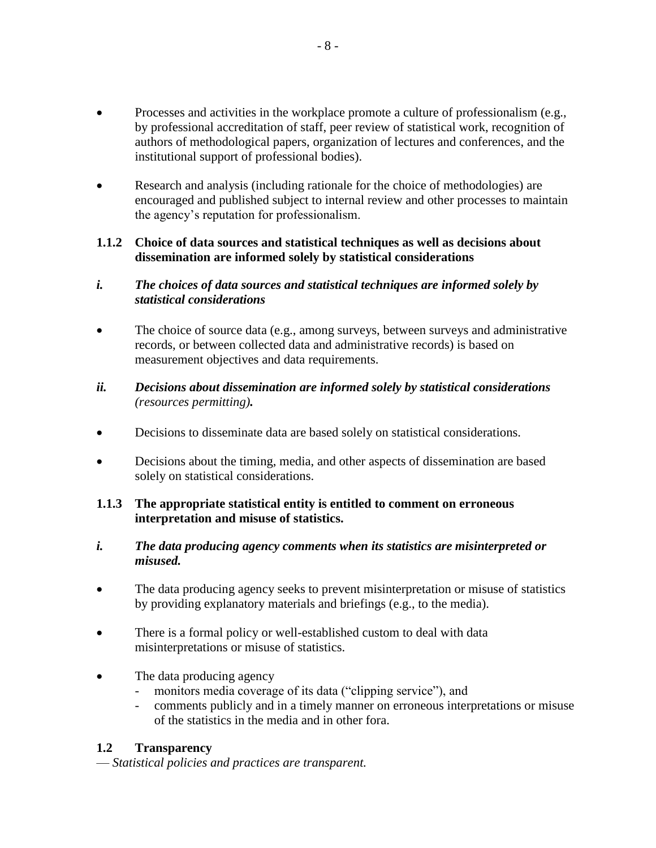- Processes and activities in the workplace promote a culture of professionalism (e.g., by professional accreditation of staff, peer review of statistical work, recognition of authors of methodological papers, organization of lectures and conferences, and the institutional support of professional bodies).
- Research and analysis (including rationale for the choice of methodologies) are encouraged and published subject to internal review and other processes to maintain the agency's reputation for professionalism.

## **1.1.2 Choice of data sources and statistical techniques as well as decisions about dissemination are informed solely by statistical considerations**

## *i. The choices of data sources and statistical techniques are informed solely by statistical considerations*

• The choice of source data (e.g., among surveys, between surveys and administrative records, or between collected data and administrative records) is based on measurement objectives and data requirements.

## *ii. Decisions about dissemination are informed solely by statistical considerations (resources permitting).*

- Decisions to disseminate data are based solely on statistical considerations.
- Decisions about the timing, media, and other aspects of dissemination are based solely on statistical considerations.

# **1.1.3 The appropriate statistical entity is entitled to comment on erroneous interpretation and misuse of statistics.**

- *i. The data producing agency comments when its statistics are misinterpreted or misused.*
- The data producing agency seeks to prevent misinterpretation or misuse of statistics by providing explanatory materials and briefings (e.g., to the media).
- There is a formal policy or well-established custom to deal with data misinterpretations or misuse of statistics.
- The data producing agency
	- monitors media coverage of its data ("clipping service"), and
	- comments publicly and in a timely manner on erroneous interpretations or misuse of the statistics in the media and in other fora.

# **1.2 Transparency**

— *Statistical policies and practices are transparent.*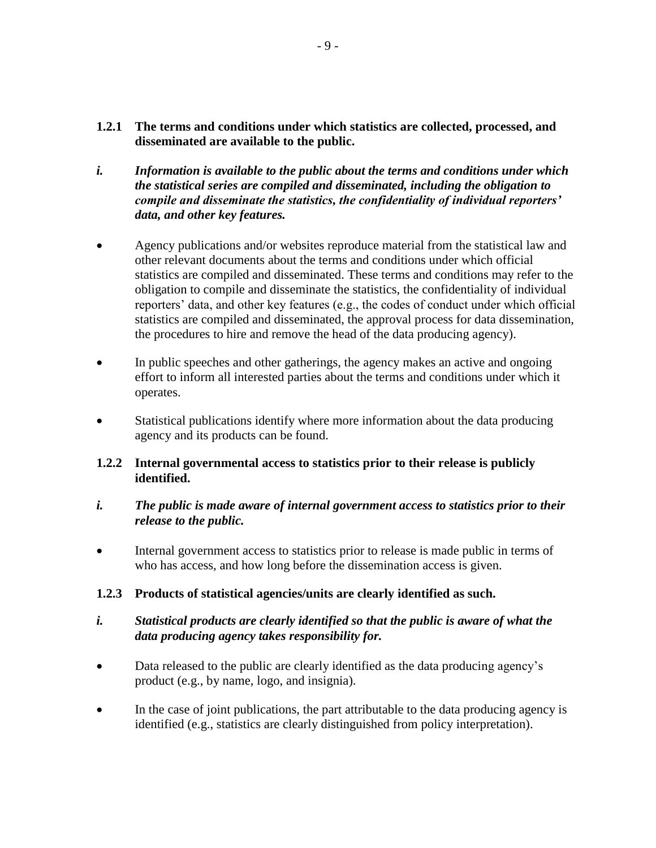- **1.2.1 The terms and conditions under which statistics are collected, processed, and disseminated are available to the public.**
- *i. Information is available to the public about the terms and conditions under which the statistical series are compiled and disseminated, including the obligation to compile and disseminate the statistics, the confidentiality of individual reporters' data, and other key features.*
- Agency publications and/or websites reproduce material from the statistical law and other relevant documents about the terms and conditions under which official statistics are compiled and disseminated. These terms and conditions may refer to the obligation to compile and disseminate the statistics, the confidentiality of individual reporters' data, and other key features (e.g., the codes of conduct under which official statistics are compiled and disseminated, the approval process for data dissemination, the procedures to hire and remove the head of the data producing agency).
- In public speeches and other gatherings, the agency makes an active and ongoing effort to inform all interested parties about the terms and conditions under which it operates.
- Statistical publications identify where more information about the data producing agency and its products can be found.

## **1.2.2 Internal governmental access to statistics prior to their release is publicly identified.**

#### *i. The public is made aware of internal government access to statistics prior to their release to the public.*

 Internal government access to statistics prior to release is made public in terms of who has access, and how long before the dissemination access is given.

# **1.2.3 Products of statistical agencies/units are clearly identified as such.**

## *i. Statistical products are clearly identified so that the public is aware of what the data producing agency takes responsibility for.*

- Data released to the public are clearly identified as the data producing agency's product (e.g., by name, logo, and insignia).
- In the case of joint publications, the part attributable to the data producing agency is identified (e.g., statistics are clearly distinguished from policy interpretation).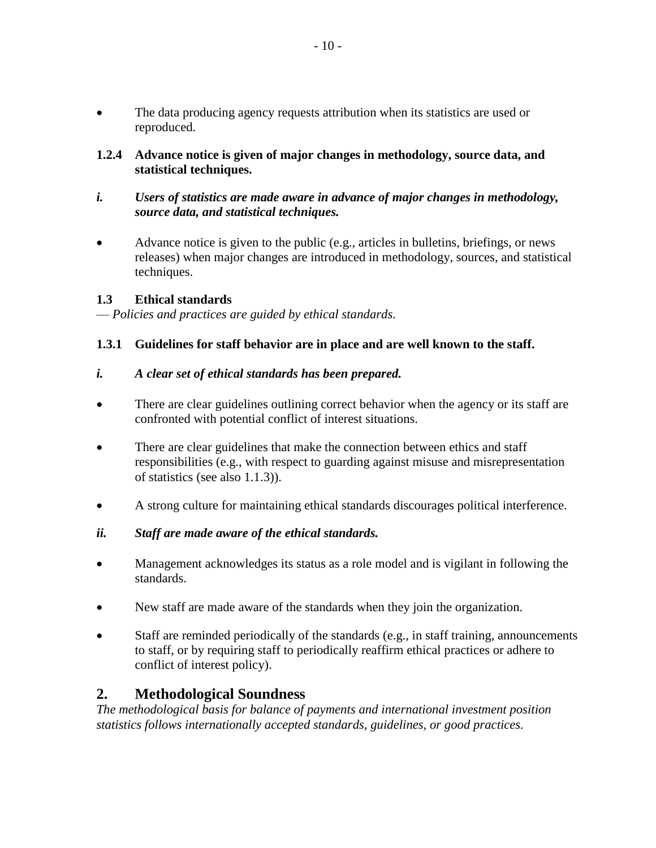- The data producing agency requests attribution when its statistics are used or reproduced.
- **1.2.4 Advance notice is given of major changes in methodology, source data, and statistical techniques.**
- *i. Users of statistics are made aware in advance of major changes in methodology, source data, and statistical techniques.*
- Advance notice is given to the public (e.g., articles in bulletins, briefings, or news releases) when major changes are introduced in methodology, sources, and statistical techniques.

#### **1.3 Ethical standards**

— *Policies and practices are guided by ethical standards.*

## **1.3.1 Guidelines for staff behavior are in place and are well known to the staff.**

#### *i. A clear set of ethical standards has been prepared.*

- There are clear guidelines outlining correct behavior when the agency or its staff are confronted with potential conflict of interest situations.
- There are clear guidelines that make the connection between ethics and staff responsibilities (e.g., with respect to guarding against misuse and misrepresentation of statistics (see also 1.1.3)).
- A strong culture for maintaining ethical standards discourages political interference.
- *ii. Staff are made aware of the ethical standards.*
- Management acknowledges its status as a role model and is vigilant in following the standards.
- New staff are made aware of the standards when they join the organization.
- Staff are reminded periodically of the standards (e.g., in staff training, announcements to staff, or by requiring staff to periodically reaffirm ethical practices or adhere to conflict of interest policy).

## **2. Methodological Soundness**

*The methodological basis for balance of payments and international investment position statistics follows internationally accepted standards, guidelines, or good practices.*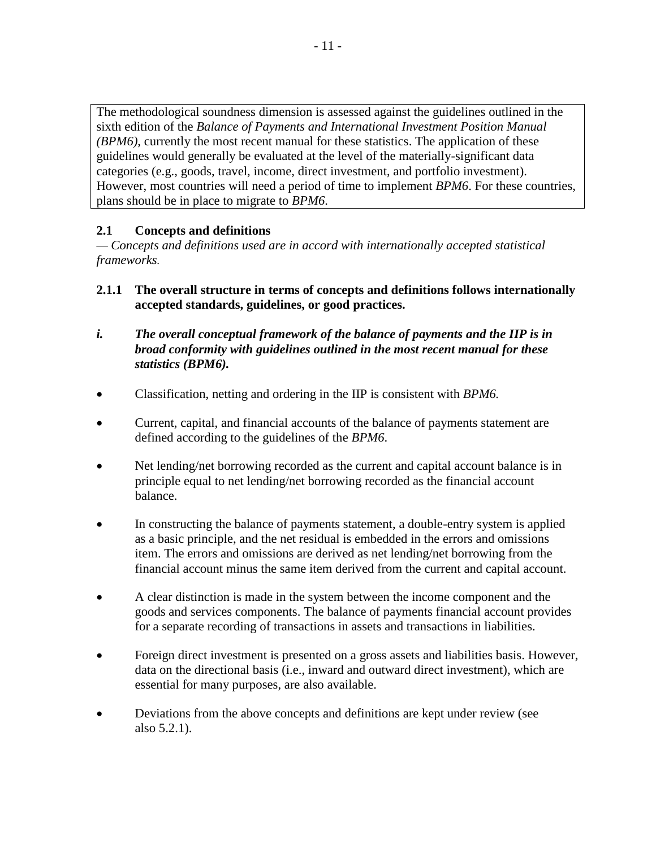The methodological soundness dimension is assessed against the guidelines outlined in the sixth edition of the *Balance of Payments and International Investment Position Manual (BPM6)*, currently the most recent manual for these statistics. The application of these guidelines would generally be evaluated at the level of the materially-significant data categories (e.g., goods, travel, income, direct investment, and portfolio investment). However, most countries will need a period of time to implement *BPM6*. For these countries, plans should be in place to migrate to *BPM6*.

## **2.1 Concepts and definitions**

*— Concepts and definitions used are in accord with internationally accepted statistical frameworks.*

- **2.1.1 The overall structure in terms of concepts and definitions follows internationally accepted standards, guidelines, or good practices.**
- *i. The overall conceptual framework of the balance of payments and the IIP is in broad conformity with guidelines outlined in the most recent manual for these statistics (BPM6).*
- Classification, netting and ordering in the IIP is consistent with *BPM6.*
- Current, capital, and financial accounts of the balance of payments statement are defined according to the guidelines of the *BPM6*.
- Net lending/net borrowing recorded as the current and capital account balance is in principle equal to net lending/net borrowing recorded as the financial account balance.
- In constructing the balance of payments statement, a double-entry system is applied as a basic principle, and the net residual is embedded in the errors and omissions item. The errors and omissions are derived as net lending/net borrowing from the financial account minus the same item derived from the current and capital account.
- A clear distinction is made in the system between the income component and the goods and services components. The balance of payments financial account provides for a separate recording of transactions in assets and transactions in liabilities.
- Foreign direct investment is presented on a gross assets and liabilities basis. However, data on the directional basis (i.e., inward and outward direct investment), which are essential for many purposes, are also available.
- Deviations from the above concepts and definitions are kept under review (see also 5.2.1).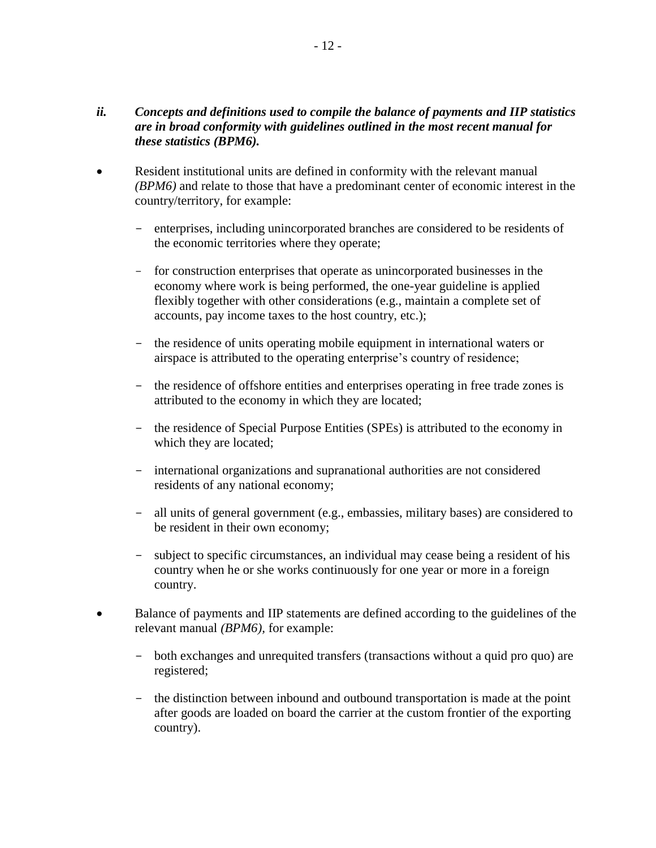#### *ii. Concepts and definitions used to compile the balance of payments and IIP statistics are in broad conformity with guidelines outlined in the most recent manual for these statistics (BPM6).*

- Resident institutional units are defined in conformity with the relevant manual *(BPM6)* and relate to those that have a predominant center of economic interest in the country/territory, for example:
	- enterprises, including unincorporated branches are considered to be residents of the economic territories where they operate;
	- for construction enterprises that operate as unincorporated businesses in the economy where work is being performed, the one-year guideline is applied flexibly together with other considerations (e.g., maintain a complete set of accounts, pay income taxes to the host country, etc.);
	- the residence of units operating mobile equipment in international waters or airspace is attributed to the operating enterprise's country of residence;
	- the residence of offshore entities and enterprises operating in free trade zones is attributed to the economy in which they are located;
	- the residence of Special Purpose Entities (SPEs) is attributed to the economy in which they are located;
	- international organizations and supranational authorities are not considered residents of any national economy;
	- all units of general government (e.g., embassies, military bases) are considered to be resident in their own economy;
	- subject to specific circumstances, an individual may cease being a resident of his country when he or she works continuously for one year or more in a foreign country.
- Balance of payments and IIP statements are defined according to the guidelines of the relevant manual *(BPM6),* for example:
	- both exchanges and unrequited transfers (transactions without a quid pro quo) are registered;
	- the distinction between inbound and outbound transportation is made at the point after goods are loaded on board the carrier at the custom frontier of the exporting country).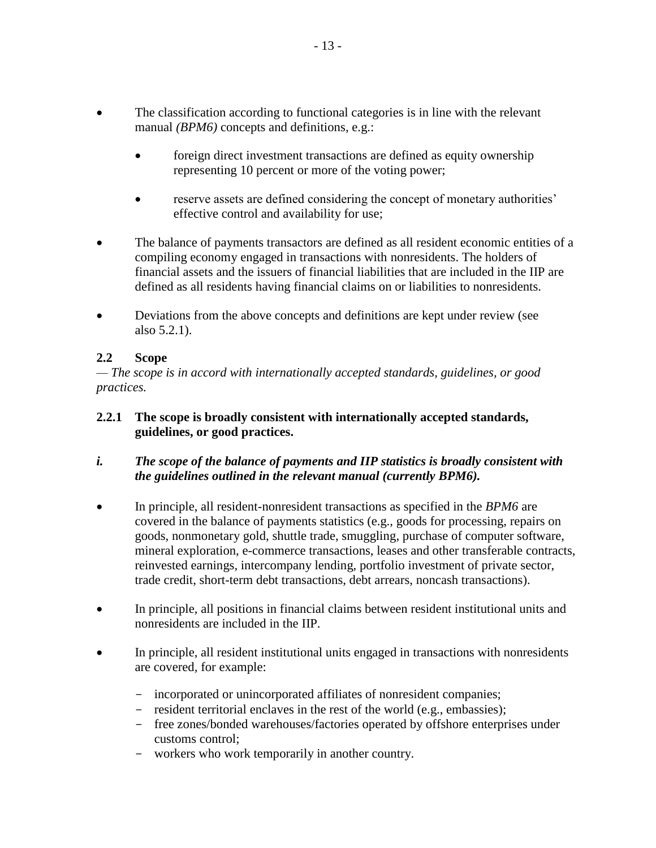- The classification according to functional categories is in line with the relevant manual *(BPM6)* concepts and definitions, e.g.:
	- foreign direct investment transactions are defined as equity ownership representing 10 percent or more of the voting power;
	- reserve assets are defined considering the concept of monetary authorities' effective control and availability for use;
- The balance of payments transactors are defined as all resident economic entities of a compiling economy engaged in transactions with nonresidents. The holders of financial assets and the issuers of financial liabilities that are included in the IIP are defined as all residents having financial claims on or liabilities to nonresidents.
- Deviations from the above concepts and definitions are kept under review (see also 5.2.1).

# **2.2 Scope**

*— The scope is in accord with internationally accepted standards, guidelines, or good practices.*

## **2.2.1 The scope is broadly consistent with internationally accepted standards, guidelines, or good practices.**

## *i. The scope of the balance of payments and IIP statistics is broadly consistent with the guidelines outlined in the relevant manual (currently BPM6).*

- In principle, all resident-nonresident transactions as specified in the *BPM6* are covered in the balance of payments statistics (e.g., goods for processing, repairs on goods, nonmonetary gold, shuttle trade, smuggling, purchase of computer software, mineral exploration, e-commerce transactions, leases and other transferable contracts, reinvested earnings, intercompany lending, portfolio investment of private sector, trade credit, short-term debt transactions, debt arrears, noncash transactions).
- In principle, all positions in financial claims between resident institutional units and nonresidents are included in the IIP.
- In principle, all resident institutional units engaged in transactions with nonresidents are covered*,* for example:
	- incorporated or unincorporated affiliates of nonresident companies;
	- resident territorial enclaves in the rest of the world (e.g., embassies);
	- free zones/bonded warehouses/factories operated by offshore enterprises under customs control;
	- workers who work temporarily in another country.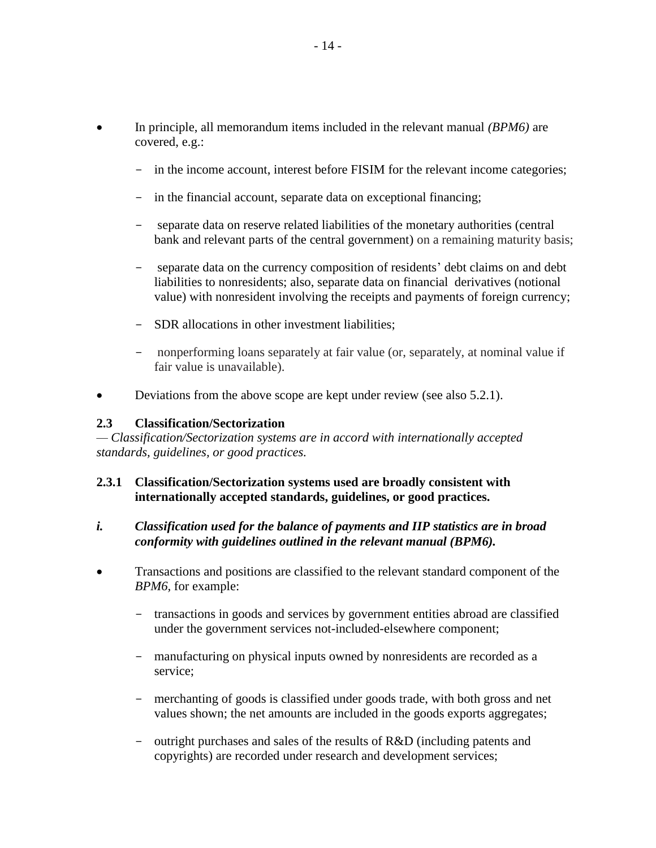- In principle, all memorandum items included in the relevant manual *(BPM6)* are covered, e.g.:
	- in the income account, interest before FISIM for the relevant income categories;
	- in the financial account, separate data on exceptional financing;
	- separate data on reserve related liabilities of the monetary authorities (central bank and relevant parts of the central government) on a remaining maturity basis;
	- separate data on the currency composition of residents' debt claims on and debt liabilities to nonresidents; also, separate data on financial derivatives (notional value) with nonresident involving the receipts and payments of foreign currency;
	- SDR allocations in other investment liabilities;
	- nonperforming loans separately at fair value (or, separately, at nominal value if fair value is unavailable).
- Deviations from the above scope are kept under review (see also 5.2.1).

#### **2.3 Classification/Sectorization**

*— Classification/Sectorization systems are in accord with internationally accepted standards, guidelines, or good practices.*

#### **2.3.1 Classification/Sectorization systems used are broadly consistent with internationally accepted standards, guidelines, or good practices.**

#### *i. Classification used for the balance of payments and IIP statistics are in broad conformity with guidelines outlined in the relevant manual (BPM6).*

- Transactions and positions are classified to the relevant standard component of the *BPM6,* for example:
	- transactions in goods and services by government entities abroad are classified under the government services not-included-elsewhere component;
	- manufacturing on physical inputs owned by nonresidents are recorded as a service;
	- merchanting of goods is classified under goods trade, with both gross and net values shown; the net amounts are included in the goods exports aggregates;
	- outright purchases and sales of the results of R&D (including patents and copyrights) are recorded under research and development services;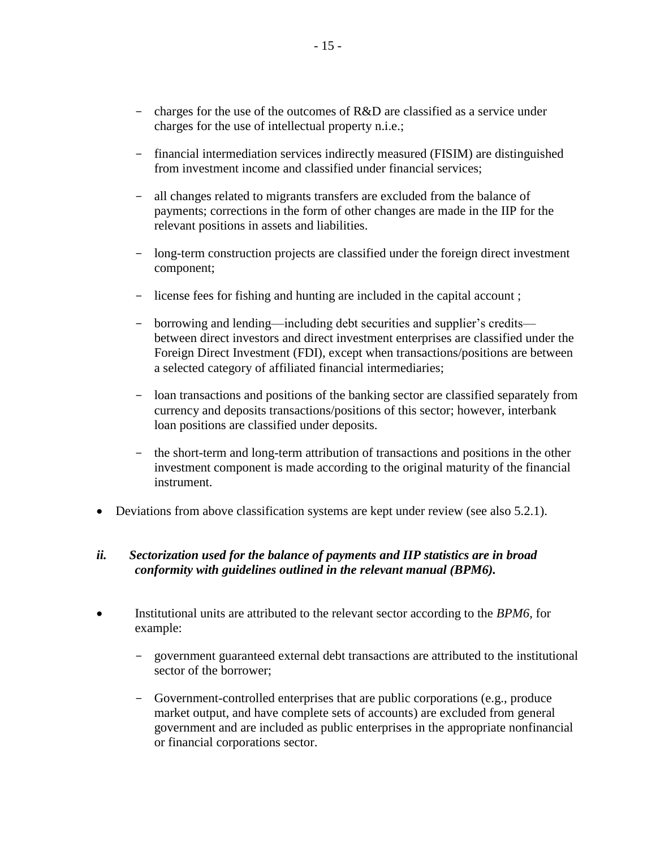- charges for the use of the outcomes of R&D are classified as a service under charges for the use of intellectual property n.i.e.;
- financial intermediation services indirectly measured (FISIM) are distinguished from investment income and classified under financial services;
- all changes related to migrants transfers are excluded from the balance of payments; corrections in the form of other changes are made in the IIP for the relevant positions in assets and liabilities.
- long-term construction projects are classified under the foreign direct investment component;
- license fees for fishing and hunting are included in the capital account ;
- borrowing and lending—including debt securities and supplier's credits between direct investors and direct investment enterprises are classified under the Foreign Direct Investment (FDI), except when transactions/positions are between a selected category of affiliated financial intermediaries;
- loan transactions and positions of the banking sector are classified separately from currency and deposits transactions/positions of this sector; however, interbank loan positions are classified under deposits.
- the short-term and long-term attribution of transactions and positions in the other investment component is made according to the original maturity of the financial instrument.
- Deviations from above classification systems are kept under review (see also 5.2.1).

#### *ii. Sectorization used for the balance of payments and IIP statistics are in broad conformity with guidelines outlined in the relevant manual (BPM6).*

- Institutional units are attributed to the relevant sector according to the *BPM6,* for example:
	- government guaranteed external debt transactions are attributed to the institutional sector of the borrower;
	- Government-controlled enterprises that are public corporations (e.g., produce market output, and have complete sets of accounts) are excluded from general government and are included as public enterprises in the appropriate nonfinancial or financial corporations sector.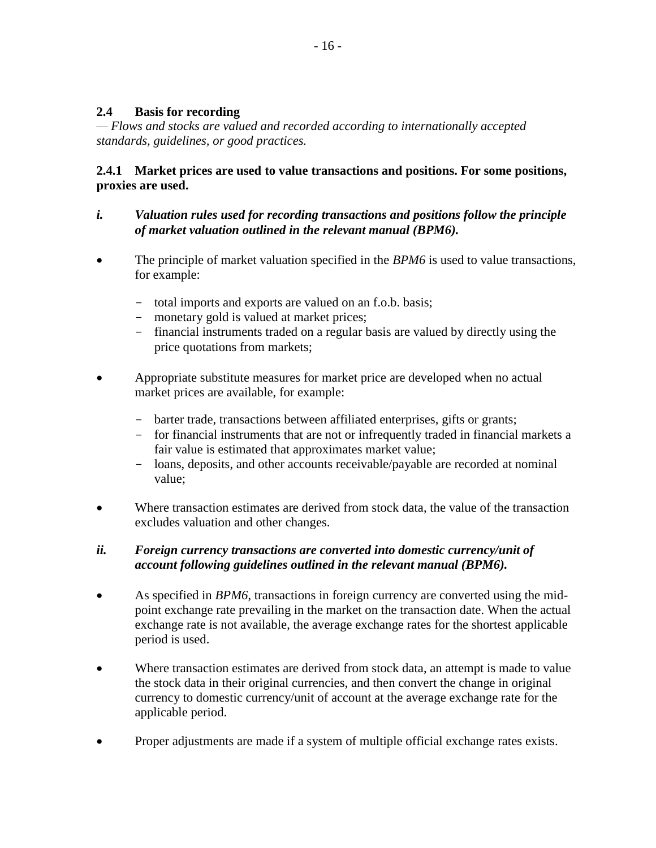## **2.4 Basis for recording**

*— Flows and stocks are valued and recorded according to internationally accepted standards, guidelines, or good practices.*

### **2.4.1 Market prices are used to value transactions and positions. For some positions, proxies are used.**

## *i. Valuation rules used for recording transactions and positions follow the principle of market valuation outlined in the relevant manual (BPM6).*

- The principle of market valuation specified in the *BPM6* is used to value transactions, for example:
	- total imports and exports are valued on an f.o.b. basis;
	- monetary gold is valued at market prices;
	- financial instruments traded on a regular basis are valued by directly using the price quotations from markets;
- Appropriate substitute measures for market price are developed when no actual market prices are available, for example:
	- barter trade, transactions between affiliated enterprises, gifts or grants;
	- for financial instruments that are not or infrequently traded in financial markets a fair value is estimated that approximates market value;
	- loans, deposits, and other accounts receivable/payable are recorded at nominal value;
- Where transaction estimates are derived from stock data, the value of the transaction excludes valuation and other changes.

## *ii. Foreign currency transactions are converted into domestic currency/unit of account following guidelines outlined in the relevant manual (BPM6).*

- As specified in *BPM6*, transactions in foreign currency are converted using the midpoint exchange rate prevailing in the market on the transaction date. When the actual exchange rate is not available, the average exchange rates for the shortest applicable period is used.
- Where transaction estimates are derived from stock data, an attempt is made to value the stock data in their original currencies, and then convert the change in original currency to domestic currency/unit of account at the average exchange rate for the applicable period.
- Proper adjustments are made if a system of multiple official exchange rates exists.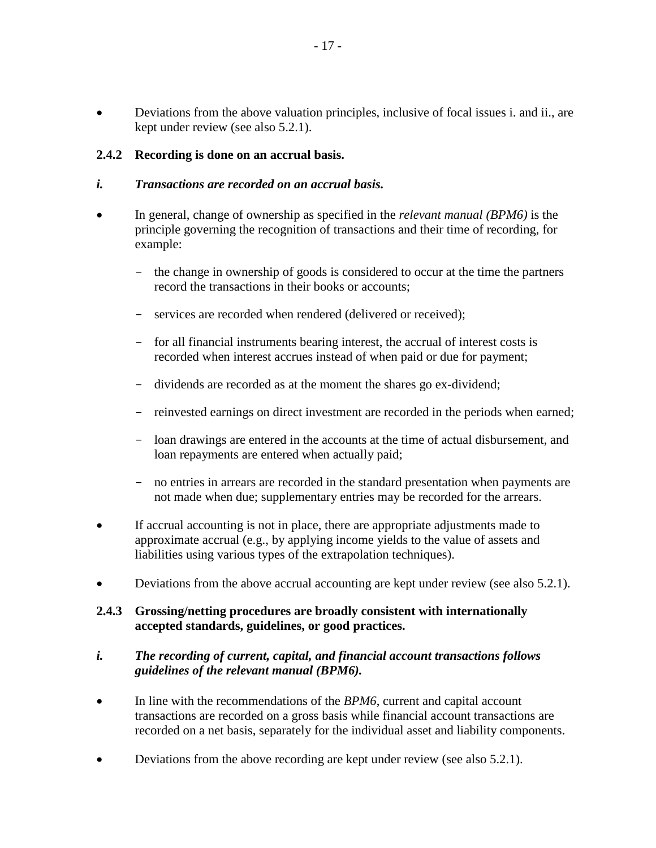Deviations from the above valuation principles, inclusive of focal issues i. and ii., are kept under review (see also 5.2.1).

## **2.4.2 Recording is done on an accrual basis.**

#### *i. Transactions are recorded on an accrual basis.*

- In general, change of ownership as specified in the *relevant manual (BPM6)* is the principle governing the recognition of transactions and their time of recording, for example:
	- the change in ownership of goods is considered to occur at the time the partners record the transactions in their books or accounts;
	- services are recorded when rendered (delivered or received);
	- for all financial instruments bearing interest, the accrual of interest costs is recorded when interest accrues instead of when paid or due for payment;
	- dividends are recorded as at the moment the shares go ex-dividend;
	- reinvested earnings on direct investment are recorded in the periods when earned;
	- loan drawings are entered in the accounts at the time of actual disbursement, and loan repayments are entered when actually paid;
	- no entries in arrears are recorded in the standard presentation when payments are not made when due; supplementary entries may be recorded for the arrears.
- If accrual accounting is not in place, there are appropriate adjustments made to approximate accrual (e.g., by applying income yields to the value of assets and liabilities using various types of the extrapolation techniques).
- Deviations from the above accrual accounting are kept under review (see also 5.2.1).

#### **2.4.3 Grossing/netting procedures are broadly consistent with internationally accepted standards, guidelines, or good practices.**

#### *i. The recording of current, capital, and financial account transactions follows guidelines of the relevant manual (BPM6).*

- In line with the recommendations of the *BPM6*, current and capital account transactions are recorded on a gross basis while financial account transactions are recorded on a net basis, separately for the individual asset and liability components.
- Deviations from the above recording are kept under review (see also 5.2.1).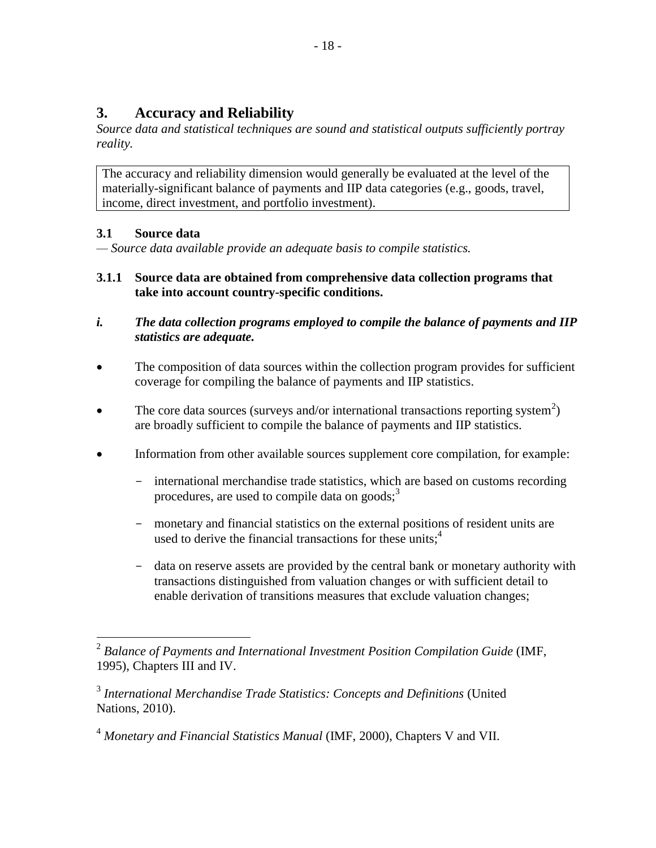# **3. Accuracy and Reliability**

*Source data and statistical techniques are sound and statistical outputs sufficiently portray reality.*

The accuracy and reliability dimension would generally be evaluated at the level of the materially-significant balance of payments and IIP data categories (e.g., goods, travel, income, direct investment, and portfolio investment).

# **3.1 Source data**

*— Source data available provide an adequate basis to compile statistics.*

- **3.1.1 Source data are obtained from comprehensive data collection programs that take into account country-specific conditions.**
- *i. The data collection programs employed to compile the balance of payments and IIP statistics are adequate.*
- The composition of data sources within the collection program provides for sufficient coverage for compiling the balance of payments and IIP statistics.
- The core data sources (surveys and/or international transactions reporting system<sup>2</sup>) are broadly sufficient to compile the balance of payments and IIP statistics.
- Information from other available sources supplement core compilation, for example:
	- international merchandise trade statistics, which are based on customs recording procedures, are used to compile data on goods; $3$
	- monetary and financial statistics on the external positions of resident units are used to derive the financial transactions for these units; $<sup>4</sup>$ </sup>
	- data on reserve assets are provided by the central bank or monetary authority with transactions distinguished from valuation changes or with sufficient detail to enable derivation of transitions measures that exclude valuation changes;

 2 *Balance of Payments and International Investment Position Compilation Guide* (IMF, 1995), Chapters III and IV.

<sup>3</sup> *International Merchandise Trade Statistics: Concepts and Definitions* (United Nations, 2010).

<sup>4</sup> *Monetary and Financial Statistics Manual* (IMF, 2000), Chapters V and VII.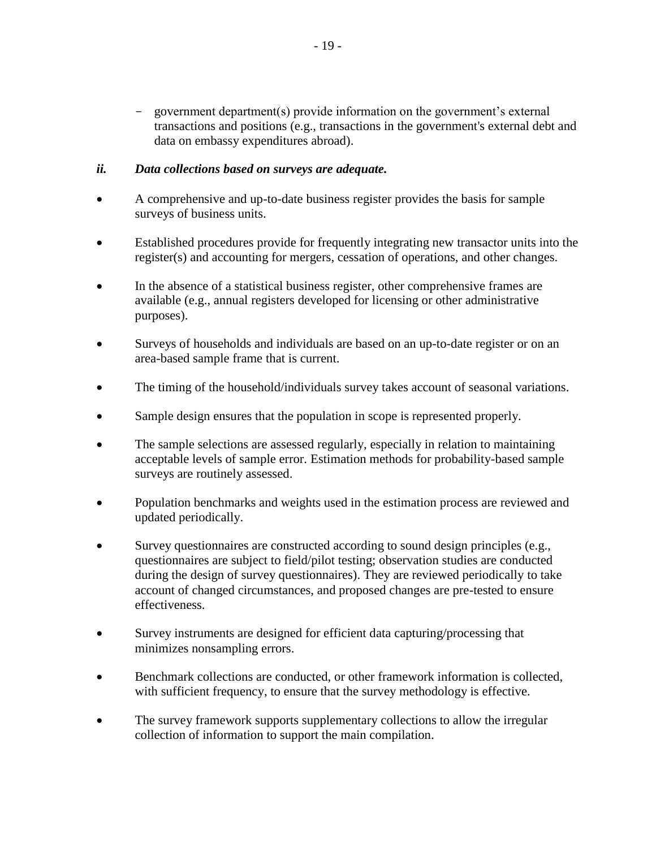- government department(s) provide information on the government's external transactions and positions (e.g., transactions in the government's external debt and data on embassy expenditures abroad).

#### *ii. Data collections based on surveys are adequate.*

- A comprehensive and up-to-date business register provides the basis for sample surveys of business units.
- Established procedures provide for frequently integrating new transactor units into the register(s) and accounting for mergers, cessation of operations, and other changes.
- In the absence of a statistical business register, other comprehensive frames are available (e.g., annual registers developed for licensing or other administrative purposes).
- Surveys of households and individuals are based on an up-to-date register or on an area-based sample frame that is current.
- The timing of the household/individuals survey takes account of seasonal variations.
- Sample design ensures that the population in scope is represented properly.
- The sample selections are assessed regularly, especially in relation to maintaining acceptable levels of sample error. Estimation methods for probability-based sample surveys are routinely assessed.
- Population benchmarks and weights used in the estimation process are reviewed and updated periodically.
- Survey questionnaires are constructed according to sound design principles (e.g., questionnaires are subject to field/pilot testing; observation studies are conducted during the design of survey questionnaires). They are reviewed periodically to take account of changed circumstances, and proposed changes are pre-tested to ensure effectiveness.
- Survey instruments are designed for efficient data capturing/processing that minimizes nonsampling errors.
- Benchmark collections are conducted, or other framework information is collected, with sufficient frequency, to ensure that the survey methodology is effective.
- The survey framework supports supplementary collections to allow the irregular collection of information to support the main compilation.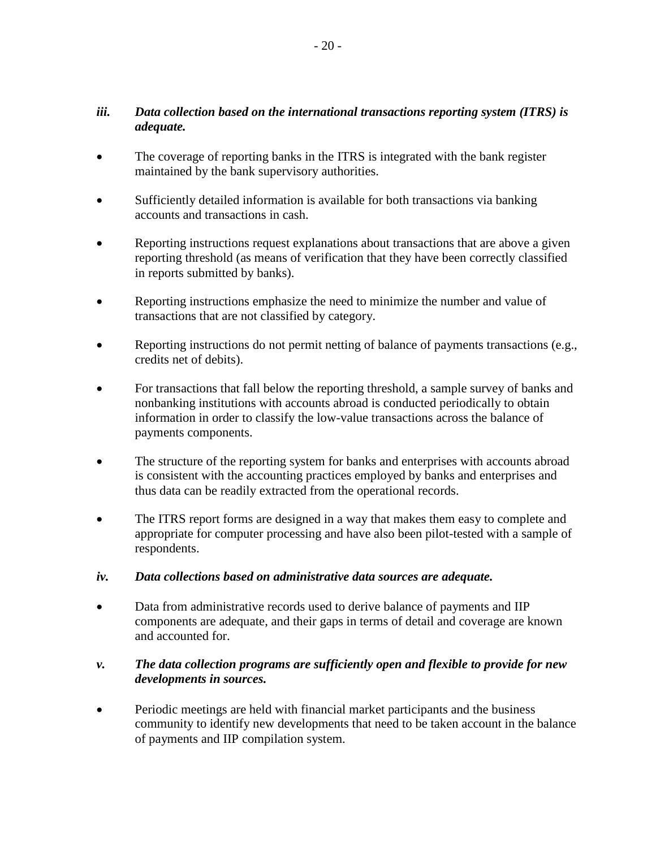## *iii. Data collection based on the international transactions reporting system (ITRS) is adequate.*

- The coverage of reporting banks in the ITRS is integrated with the bank register maintained by the bank supervisory authorities.
- Sufficiently detailed information is available for both transactions via banking accounts and transactions in cash.
- Reporting instructions request explanations about transactions that are above a given reporting threshold (as means of verification that they have been correctly classified in reports submitted by banks).
- Reporting instructions emphasize the need to minimize the number and value of transactions that are not classified by category.
- Reporting instructions do not permit netting of balance of payments transactions (e.g., credits net of debits).
- For transactions that fall below the reporting threshold, a sample survey of banks and nonbanking institutions with accounts abroad is conducted periodically to obtain information in order to classify the low-value transactions across the balance of payments components.
- The structure of the reporting system for banks and enterprises with accounts abroad is consistent with the accounting practices employed by banks and enterprises and thus data can be readily extracted from the operational records.
- The ITRS report forms are designed in a way that makes them easy to complete and appropriate for computer processing and have also been pilot-tested with a sample of respondents.
- *iv. Data collections based on administrative data sources are adequate.*
- Data from administrative records used to derive balance of payments and IIP components are adequate, and their gaps in terms of detail and coverage are known and accounted for.

## *v. The data collection programs are sufficiently open and flexible to provide for new developments in sources.*

 Periodic meetings are held with financial market participants and the business community to identify new developments that need to be taken account in the balance of payments and IIP compilation system.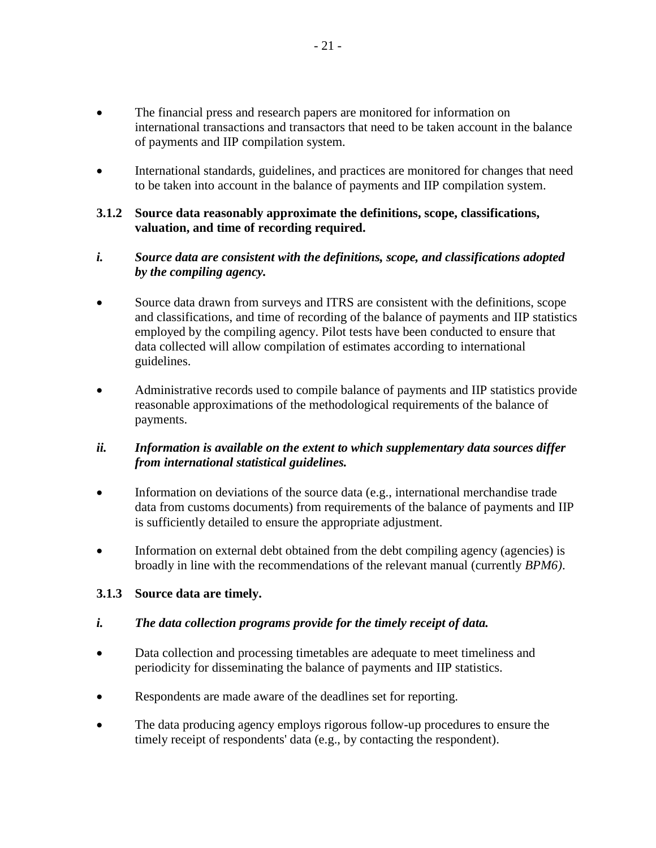- The financial press and research papers are monitored for information on international transactions and transactors that need to be taken account in the balance of payments and IIP compilation system.
- International standards, guidelines, and practices are monitored for changes that need to be taken into account in the balance of payments and IIP compilation system.

#### **3.1.2 Source data reasonably approximate the definitions, scope, classifications, valuation, and time of recording required.**

## *i. Source data are consistent with the definitions, scope, and classifications adopted by the compiling agency.*

- Source data drawn from surveys and ITRS are consistent with the definitions, scope and classifications, and time of recording of the balance of payments and IIP statistics employed by the compiling agency. Pilot tests have been conducted to ensure that data collected will allow compilation of estimates according to international guidelines.
- Administrative records used to compile balance of payments and IIP statistics provide reasonable approximations of the methodological requirements of the balance of payments.

## *ii. Information is available on the extent to which supplementary data sources differ from international statistical guidelines.*

- Information on deviations of the source data (e.g., international merchandise trade data from customs documents) from requirements of the balance of payments and IIP is sufficiently detailed to ensure the appropriate adjustment.
- Information on external debt obtained from the debt compiling agency (agencies) is broadly in line with the recommendations of the relevant manual (currently *BPM6)*.

## **3.1.3 Source data are timely.**

## *i. The data collection programs provide for the timely receipt of data.*

- Data collection and processing timetables are adequate to meet timeliness and periodicity for disseminating the balance of payments and IIP statistics.
- Respondents are made aware of the deadlines set for reporting.
- The data producing agency employs rigorous follow-up procedures to ensure the timely receipt of respondents' data (e.g., by contacting the respondent).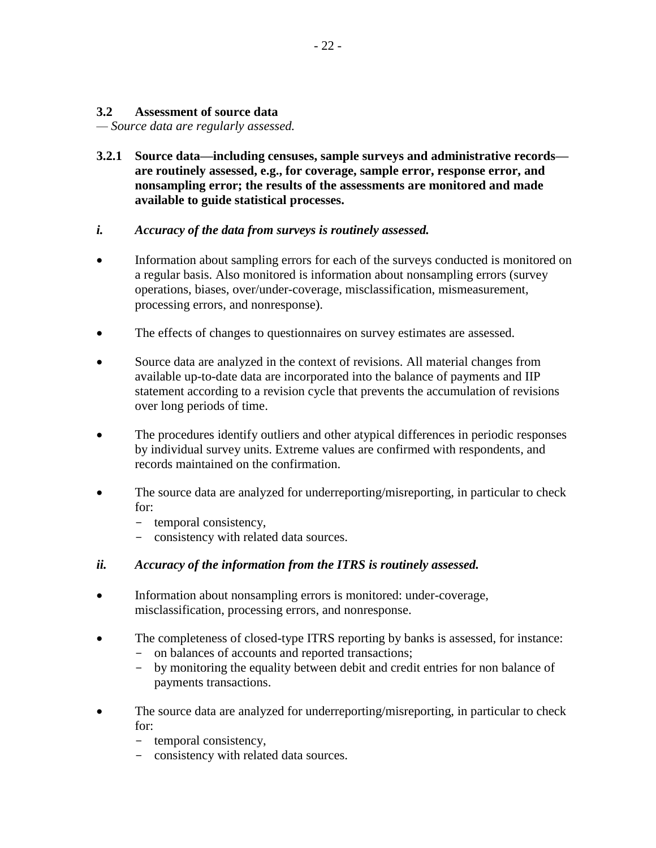#### **3.2 Assessment of source data**

*— Source data are regularly assessed.*

**3.2.1 Source data—including censuses, sample surveys and administrative records are routinely assessed, e.g., for coverage, sample error, response error, and nonsampling error; the results of the assessments are monitored and made available to guide statistical processes.**

#### *i. Accuracy of the data from surveys is routinely assessed.*

- Information about sampling errors for each of the surveys conducted is monitored on a regular basis. Also monitored is information about nonsampling errors (survey operations, biases, over/under-coverage, misclassification, mismeasurement, processing errors, and nonresponse).
- The effects of changes to questionnaires on survey estimates are assessed.
- Source data are analyzed in the context of revisions. All material changes from available up-to-date data are incorporated into the balance of payments and IIP statement according to a revision cycle that prevents the accumulation of revisions over long periods of time.
- The procedures identify outliers and other atypical differences in periodic responses by individual survey units. Extreme values are confirmed with respondents, and records maintained on the confirmation.
- The source data are analyzed for underreporting/misreporting, in particular to check for:
	- temporal consistency,
	- consistency with related data sources.

#### *ii. Accuracy of the information from the ITRS is routinely assessed.*

- Information about nonsampling errors is monitored: under-coverage, misclassification, processing errors, and nonresponse.
- The completeness of closed-type ITRS reporting by banks is assessed, for instance:
	- on balances of accounts and reported transactions;
	- by monitoring the equality between debit and credit entries for non balance of payments transactions.
- The source data are analyzed for underreporting/misreporting, in particular to check for:
	- temporal consistency,
	- consistency with related data sources.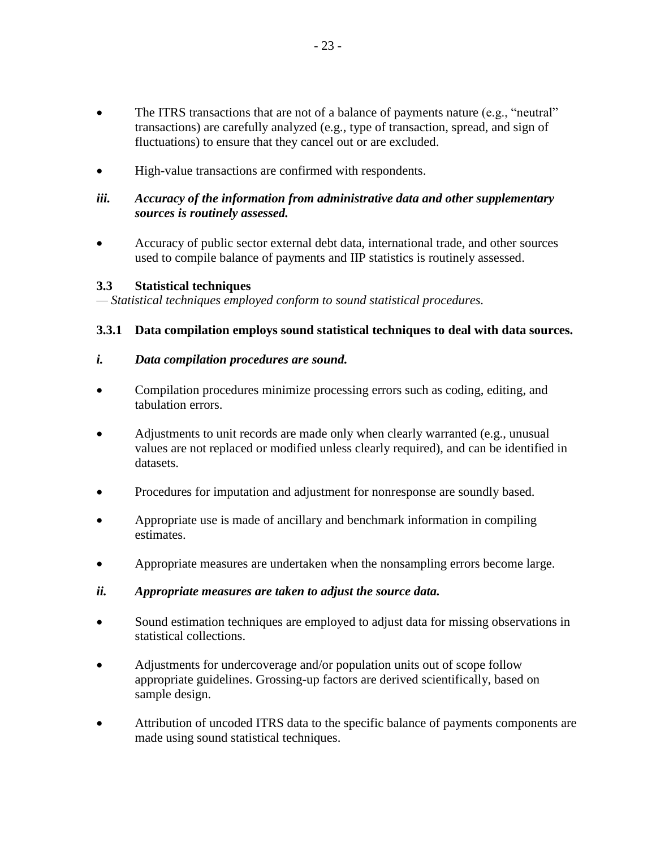- The ITRS transactions that are not of a balance of payments nature (e.g., "neutral" transactions) are carefully analyzed (e.g., type of transaction, spread, and sign of fluctuations) to ensure that they cancel out or are excluded.
- High-value transactions are confirmed with respondents.

## *iii. Accuracy of the information from administrative data and other supplementary sources is routinely assessed.*

 Accuracy of public sector external debt data, international trade, and other sources used to compile balance of payments and IIP statistics is routinely assessed.

## **3.3 Statistical techniques**

*— Statistical techniques employed conform to sound statistical procedures.*

#### **3.3.1 Data compilation employs sound statistical techniques to deal with data sources.**

#### *i. Data compilation procedures are sound.*

- Compilation procedures minimize processing errors such as coding, editing, and tabulation errors.
- Adjustments to unit records are made only when clearly warranted (e.g., unusual values are not replaced or modified unless clearly required), and can be identified in datasets.
- Procedures for imputation and adjustment for nonresponse are soundly based.
- Appropriate use is made of ancillary and benchmark information in compiling estimates.
- Appropriate measures are undertaken when the nonsampling errors become large.

#### *ii. Appropriate measures are taken to adjust the source data.*

- Sound estimation techniques are employed to adjust data for missing observations in statistical collections.
- Adjustments for undercoverage and/or population units out of scope follow appropriate guidelines. Grossing-up factors are derived scientifically, based on sample design.
- Attribution of uncoded ITRS data to the specific balance of payments components are made using sound statistical techniques.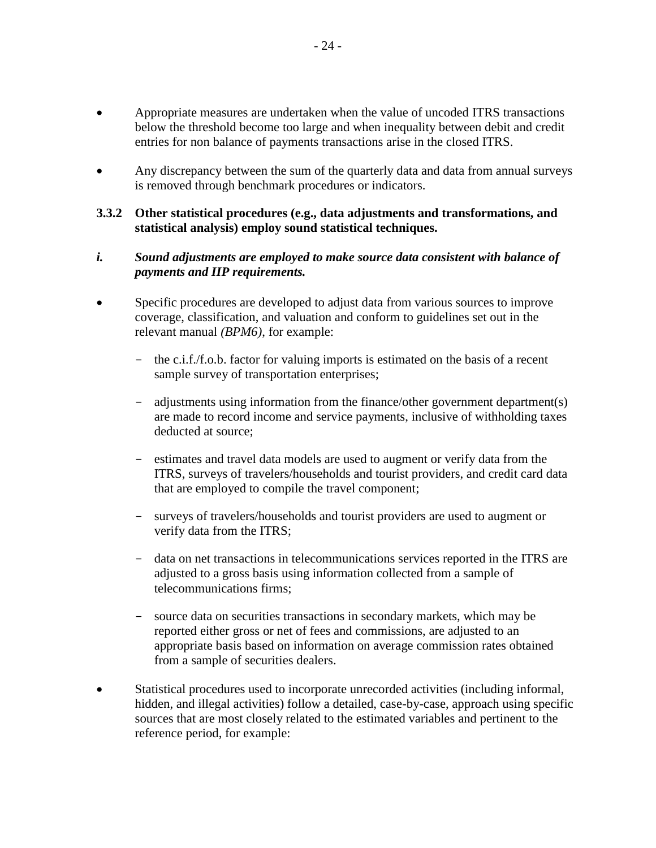- Appropriate measures are undertaken when the value of uncoded ITRS transactions below the threshold become too large and when inequality between debit and credit entries for non balance of payments transactions arise in the closed ITRS.
- Any discrepancy between the sum of the quarterly data and data from annual surveys is removed through benchmark procedures or indicators.

#### **3.3.2 Other statistical procedures (e.g., data adjustments and transformations, and statistical analysis) employ sound statistical techniques.**

#### *i. Sound adjustments are employed to make source data consistent with balance of payments and IIP requirements.*

- Specific procedures are developed to adjust data from various sources to improve coverage, classification, and valuation and conform to guidelines set out in the relevant manual *(BPM6)*, for example:
	- the c.i.f./f.o.b. factor for valuing imports is estimated on the basis of a recent sample survey of transportation enterprises;
	- adjustments using information from the finance/other government department(s) are made to record income and service payments, inclusive of withholding taxes deducted at source;
	- estimates and travel data models are used to augment or verify data from the ITRS, surveys of travelers/households and tourist providers, and credit card data that are employed to compile the travel component;
	- surveys of travelers/households and tourist providers are used to augment or verify data from the ITRS;
	- data on net transactions in telecommunications services reported in the ITRS are adjusted to a gross basis using information collected from a sample of telecommunications firms;
	- source data on securities transactions in secondary markets, which may be reported either gross or net of fees and commissions, are adjusted to an appropriate basis based on information on average commission rates obtained from a sample of securities dealers.
- Statistical procedures used to incorporate unrecorded activities (including informal, hidden, and illegal activities) follow a detailed, case-by-case, approach using specific sources that are most closely related to the estimated variables and pertinent to the reference period, for example: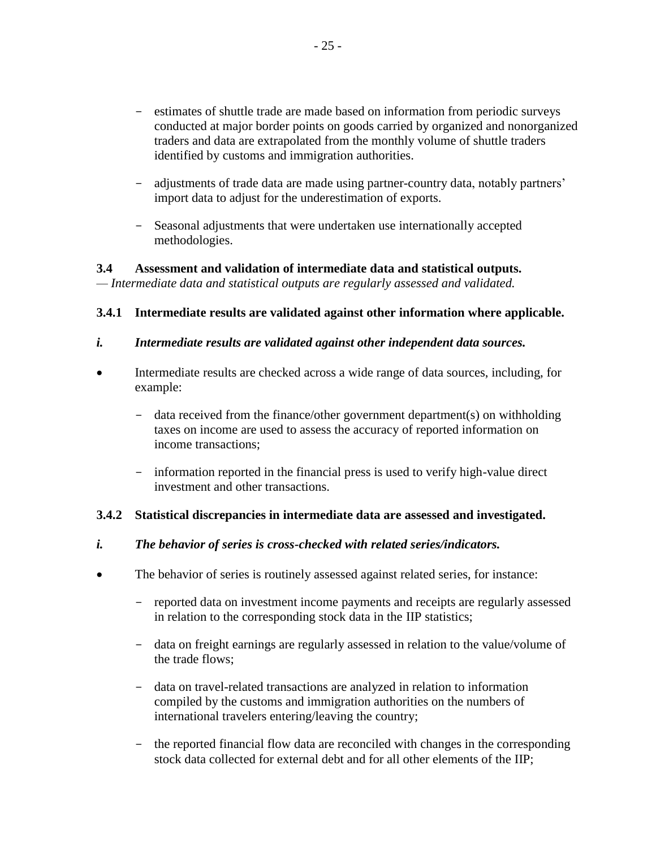- estimates of shuttle trade are made based on information from periodic surveys conducted at major border points on goods carried by organized and nonorganized traders and data are extrapolated from the monthly volume of shuttle traders identified by customs and immigration authorities.
- adjustments of trade data are made using partner-country data, notably partners' import data to adjust for the underestimation of exports.
- Seasonal adjustments that were undertaken use internationally accepted methodologies.

# **3.4 Assessment and validation of intermediate data and statistical outputs.**

*— Intermediate data and statistical outputs are regularly assessed and validated.*

# **3.4.1 Intermediate results are validated against other information where applicable.**

- *i. Intermediate results are validated against other independent data sources.*
- Intermediate results are checked across a wide range of data sources, including, for example:
	- data received from the finance/other government department(s) on withholding taxes on income are used to assess the accuracy of reported information on income transactions;
	- information reported in the financial press is used to verify high-value direct investment and other transactions.

## **3.4.2 Statistical discrepancies in intermediate data are assessed and investigated.**

## *i. The behavior of series is cross-checked with related series/indicators.*

- The behavior of series is routinely assessed against related series, for instance:
	- reported data on investment income payments and receipts are regularly assessed in relation to the corresponding stock data in the IIP statistics;
	- data on freight earnings are regularly assessed in relation to the value/volume of the trade flows;
	- data on travel-related transactions are analyzed in relation to information compiled by the customs and immigration authorities on the numbers of international travelers entering/leaving the country;
	- the reported financial flow data are reconciled with changes in the corresponding stock data collected for external debt and for all other elements of the IIP;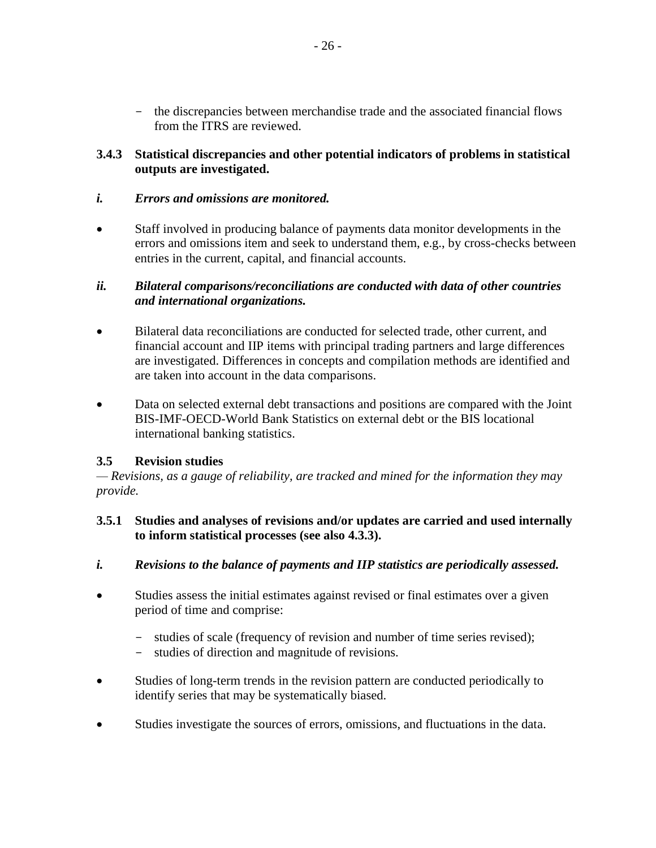- the discrepancies between merchandise trade and the associated financial flows from the ITRS are reviewed.

## **3.4.3 Statistical discrepancies and other potential indicators of problems in statistical outputs are investigated.**

#### *i. Errors and omissions are monitored.*

 Staff involved in producing balance of payments data monitor developments in the errors and omissions item and seek to understand them, e.g., by cross-checks between entries in the current, capital, and financial accounts.

#### *ii. Bilateral comparisons/reconciliations are conducted with data of other countries and international organizations.*

- Bilateral data reconciliations are conducted for selected trade, other current, and financial account and IIP items with principal trading partners and large differences are investigated. Differences in concepts and compilation methods are identified and are taken into account in the data comparisons.
- Data on selected external debt transactions and positions are compared with the Joint BIS-IMF-OECD-World Bank Statistics on external debt or the BIS locational international banking statistics.

## **3.5 Revision studies**

*— Revisions, as a gauge of reliability, are tracked and mined for the information they may provide.*

#### **3.5.1 Studies and analyses of revisions and/or updates are carried and used internally to inform statistical processes (see also 4.3.3).**

- *i. Revisions to the balance of payments and IIP statistics are periodically assessed.*
- Studies assess the initial estimates against revised or final estimates over a given period of time and comprise:
	- studies of scale (frequency of revision and number of time series revised);
	- studies of direction and magnitude of revisions.
- Studies of long-term trends in the revision pattern are conducted periodically to identify series that may be systematically biased.
- Studies investigate the sources of errors, omissions, and fluctuations in the data.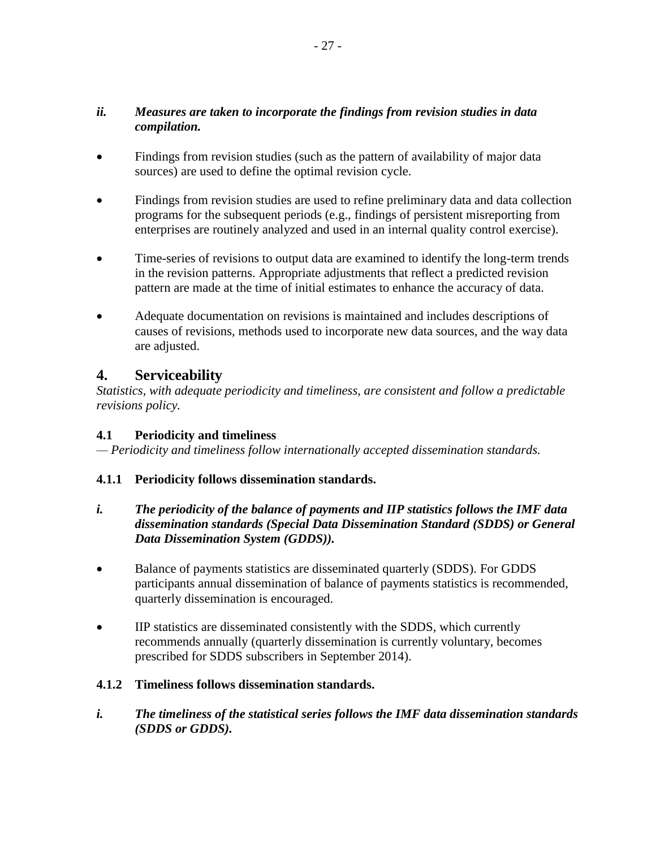## *ii. Measures are taken to incorporate the findings from revision studies in data compilation.*

- Findings from revision studies (such as the pattern of availability of major data sources) are used to define the optimal revision cycle.
- Findings from revision studies are used to refine preliminary data and data collection programs for the subsequent periods (e.g., findings of persistent misreporting from enterprises are routinely analyzed and used in an internal quality control exercise).
- Time-series of revisions to output data are examined to identify the long-term trends in the revision patterns. Appropriate adjustments that reflect a predicted revision pattern are made at the time of initial estimates to enhance the accuracy of data.
- Adequate documentation on revisions is maintained and includes descriptions of causes of revisions, methods used to incorporate new data sources, and the way data are adjusted.

# **4. Serviceability**

*Statistics, with adequate periodicity and timeliness, are consistent and follow a predictable revisions policy.*

# **4.1 Periodicity and timeliness**

*— Periodicity and timeliness follow internationally accepted dissemination standards.*

## **4.1.1 Periodicity follows dissemination standards.**

- *i. The periodicity of the balance of payments and IIP statistics follows the IMF data dissemination standards (Special Data Dissemination Standard (SDDS) or General Data Dissemination System (GDDS)).*
- Balance of payments statistics are disseminated quarterly (SDDS). For GDDS participants annual dissemination of balance of payments statistics is recommended, quarterly dissemination is encouraged.
- IIP statistics are disseminated consistently with the SDDS, which currently recommends annually (quarterly dissemination is currently voluntary, becomes prescribed for SDDS subscribers in September 2014).

## **4.1.2 Timeliness follows dissemination standards.**

*i. The timeliness of the statistical series follows the IMF data dissemination standards (SDDS or GDDS).*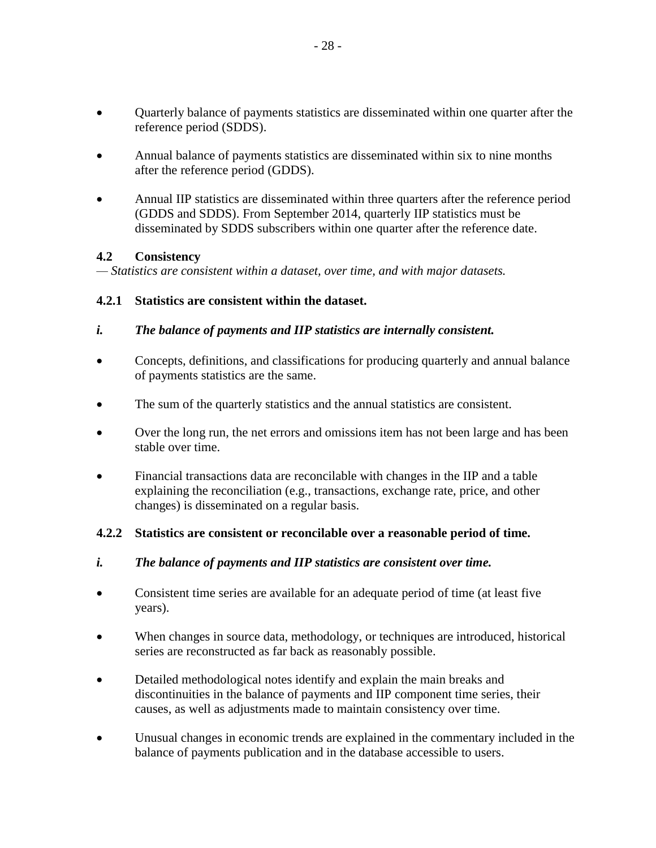- Quarterly balance of payments statistics are disseminated within one quarter after the reference period (SDDS).
- Annual balance of payments statistics are disseminated within six to nine months after the reference period (GDDS).
- Annual IIP statistics are disseminated within three quarters after the reference period (GDDS and SDDS). From September 2014, quarterly IIP statistics must be disseminated by SDDS subscribers within one quarter after the reference date.

## **4.2 Consistency**

*— Statistics are consistent within a dataset, over time, and with major datasets.*

# **4.2.1 Statistics are consistent within the dataset.**

- *i. The balance of payments and IIP statistics are internally consistent.*
- Concepts, definitions, and classifications for producing quarterly and annual balance of payments statistics are the same.
- The sum of the quarterly statistics and the annual statistics are consistent.
- Over the long run, the net errors and omissions item has not been large and has been stable over time.
- Financial transactions data are reconcilable with changes in the IIP and a table explaining the reconciliation (e.g., transactions, exchange rate, price, and other changes) is disseminated on a regular basis.

## **4.2.2 Statistics are consistent or reconcilable over a reasonable period of time.**

- *i. The balance of payments and IIP statistics are consistent over time.*
- Consistent time series are available for an adequate period of time (at least five years).
- When changes in source data, methodology, or techniques are introduced, historical series are reconstructed as far back as reasonably possible.
- Detailed methodological notes identify and explain the main breaks and discontinuities in the balance of payments and IIP component time series, their causes, as well as adjustments made to maintain consistency over time.
- Unusual changes in economic trends are explained in the commentary included in the balance of payments publication and in the database accessible to users.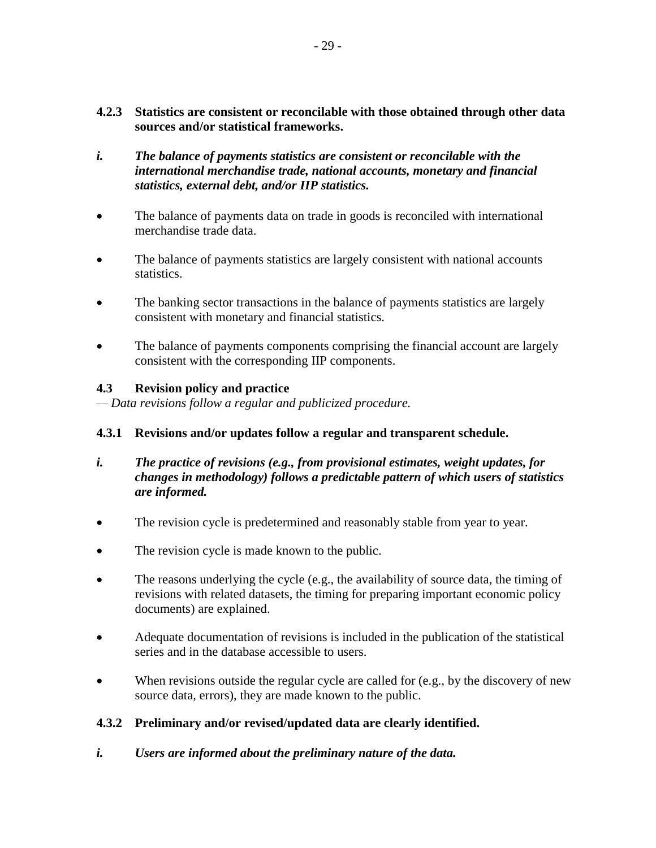- **4.2.3 Statistics are consistent or reconcilable with those obtained through other data sources and/or statistical frameworks.**
- *i. The balance of payments statistics are consistent or reconcilable with the international merchandise trade, national accounts, monetary and financial statistics, external debt, and/or IIP statistics.*
- The balance of payments data on trade in goods is reconciled with international merchandise trade data.
- The balance of payments statistics are largely consistent with national accounts statistics.
- The banking sector transactions in the balance of payments statistics are largely consistent with monetary and financial statistics.
- The balance of payments components comprising the financial account are largely consistent with the corresponding IIP components.

#### **4.3 Revision policy and practice**

*— Data revisions follow a regular and publicized procedure.* 

## **4.3.1 Revisions and/or updates follow a regular and transparent schedule.**

- *i. The practice of revisions (e.g., from provisional estimates, weight updates, for changes in methodology) follows a predictable pattern of which users of statistics are informed.*
- The revision cycle is predetermined and reasonably stable from year to year.
- The revision cycle is made known to the public.
- The reasons underlying the cycle (e.g., the availability of source data, the timing of revisions with related datasets, the timing for preparing important economic policy documents) are explained.
- Adequate documentation of revisions is included in the publication of the statistical series and in the database accessible to users.
- When revisions outside the regular cycle are called for (e.g., by the discovery of new source data, errors), they are made known to the public.

## **4.3.2 Preliminary and/or revised/updated data are clearly identified.**

*i. Users are informed about the preliminary nature of the data.*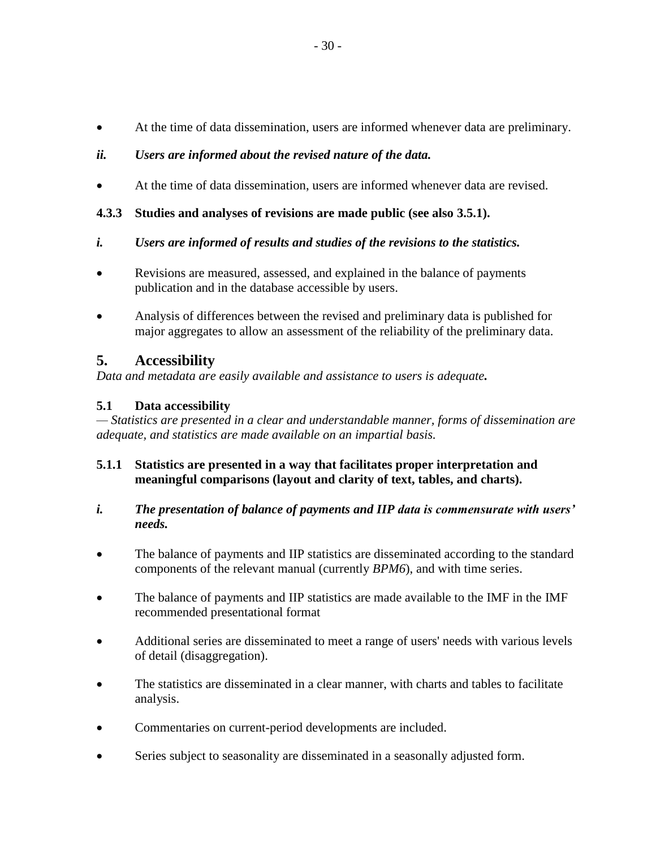At the time of data dissemination, users are informed whenever data are preliminary.

# *ii. Users are informed about the revised nature of the data.*

At the time of data dissemination, users are informed whenever data are revised.

# **4.3.3 Studies and analyses of revisions are made public (see also 3.5.1).**

- *i. Users are informed of results and studies of the revisions to the statistics.*
- Revisions are measured, assessed, and explained in the balance of payments publication and in the database accessible by users.
- Analysis of differences between the revised and preliminary data is published for major aggregates to allow an assessment of the reliability of the preliminary data.

# **5. Accessibility**

*Data and metadata are easily available and assistance to users is adequate.*

# **5.1 Data accessibility**

*— Statistics are presented in a clear and understandable manner, forms of dissemination are adequate, and statistics are made available on an impartial basis.*

## **5.1.1 Statistics are presented in a way that facilitates proper interpretation and meaningful comparisons (layout and clarity of text, tables, and charts).**

# *i. The presentation of balance of payments and IIP data is commensurate with users' needs.*

- The balance of payments and IIP statistics are disseminated according to the standard components of the relevant manual (currently *BPM6*), and with time series.
- The balance of payments and IIP statistics are made available to the IMF in the IMF recommended presentational format
- Additional series are disseminated to meet a range of users' needs with various levels of detail (disaggregation).
- The statistics are disseminated in a clear manner, with charts and tables to facilitate analysis.
- Commentaries on current-period developments are included.
- Series subject to seasonality are disseminated in a seasonally adjusted form.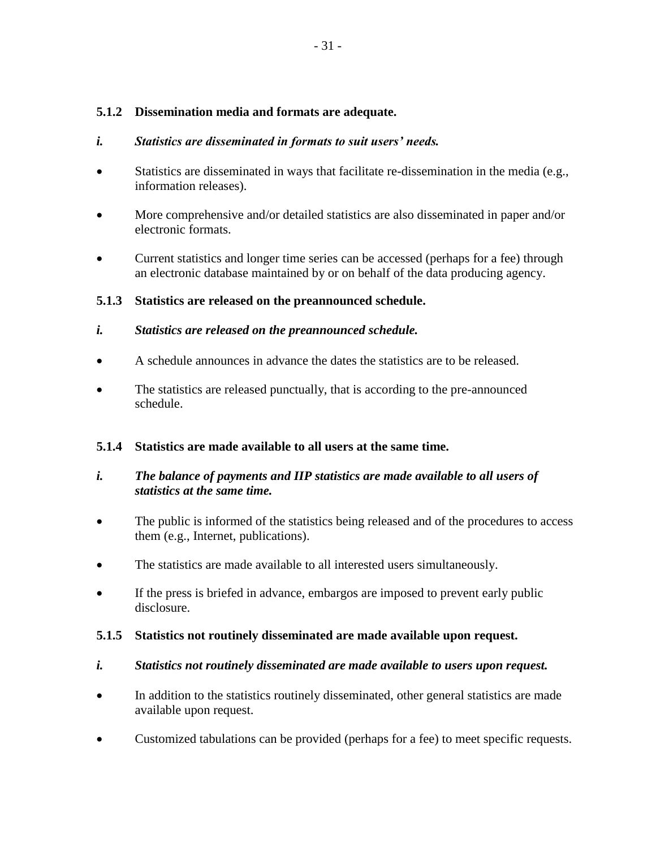### **5.1.2 Dissemination media and formats are adequate.**

#### *i. Statistics are disseminated in formats to suit users' needs.*

- Statistics are disseminated in ways that facilitate re-dissemination in the media (e.g., information releases).
- More comprehensive and/or detailed statistics are also disseminated in paper and/or electronic formats.
- Current statistics and longer time series can be accessed (perhaps for a fee) through an electronic database maintained by or on behalf of the data producing agency.

#### **5.1.3 Statistics are released on the preannounced schedule.**

- *i. Statistics are released on the preannounced schedule.*
- A schedule announces in advance the dates the statistics are to be released.
- The statistics are released punctually, that is according to the pre-announced schedule.

#### **5.1.4 Statistics are made available to all users at the same time.**

## *i. The balance of payments and IIP statistics are made available to all users of statistics at the same time.*

- The public is informed of the statistics being released and of the procedures to access them (e.g., Internet, publications).
- The statistics are made available to all interested users simultaneously.
- If the press is briefed in advance, embargos are imposed to prevent early public disclosure.

#### **5.1.5 Statistics not routinely disseminated are made available upon request.**

#### *i. Statistics not routinely disseminated are made available to users upon request.*

- In addition to the statistics routinely disseminated, other general statistics are made available upon request.
- Customized tabulations can be provided (perhaps for a fee) to meet specific requests.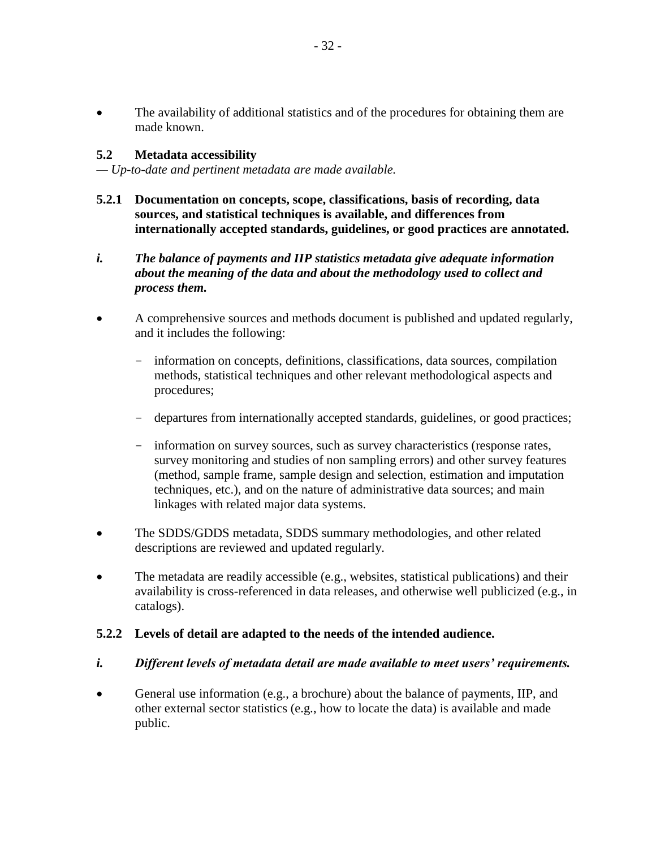• The availability of additional statistics and of the procedures for obtaining them are made known.

#### **5.2 Metadata accessibility**

*— Up-to-date and pertinent metadata are made available.*

- **5.2.1 Documentation on concepts, scope, classifications, basis of recording, data sources, and statistical techniques is available, and differences from internationally accepted standards, guidelines, or good practices are annotated.**
- *i. The balance of payments and IIP statistics metadata give adequate information about the meaning of the data and about the methodology used to collect and process them.*
- A comprehensive sources and methods document is published and updated regularly, and it includes the following:
	- information on concepts, definitions, classifications, data sources, compilation methods, statistical techniques and other relevant methodological aspects and procedures;
	- departures from internationally accepted standards, guidelines, or good practices;
	- information on survey sources, such as survey characteristics (response rates, survey monitoring and studies of non sampling errors) and other survey features (method, sample frame, sample design and selection, estimation and imputation techniques, etc.), and on the nature of administrative data sources; and main linkages with related major data systems.
- The SDDS/GDDS metadata, SDDS summary methodologies, and other related descriptions are reviewed and updated regularly.
- The metadata are readily accessible (e.g., websites, statistical publications) and their availability is cross-referenced in data releases, and otherwise well publicized (e.g., in catalogs).

#### **5.2.2 Levels of detail are adapted to the needs of the intended audience.**

## *i. Different levels of metadata detail are made available to meet users' requirements.*

 General use information (e.g., a brochure) about the balance of payments, IIP, and other external sector statistics (e.g., how to locate the data) is available and made public.